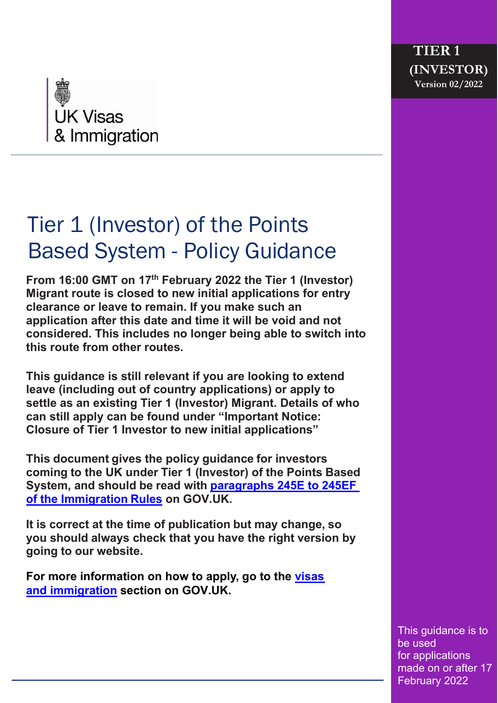

# Tier 1 (Investor) of the Points Based System - Policy Guidance

**From 16:00 GMT on 17th February 2022 the Tier 1 (Investor) Migrant route is closed to new initial applications for entry clearance or leave to remain. If you make such an application after this date and time it will be void and not considered. This includes no longer being able to switch into this route from other routes.** 

**This guidance is still relevant if you are looking to extend leave (including out of country applications) or apply to settle as an existing Tier 1 (Investor) Migrant. Details of who can still apply can be found under "Important Notice: Closure of Tier 1 Investor to new initial applications"**

**This document gives the policy guidance for investors coming to the UK under Tier 1 (Investor) of the Points Based System, and should be read with [paragraphs 245E to](https://www.gov.uk/guidance/immigration-rules/immigration-rules-part-6a-the-points-based-system) 245EF of [the Immigration](https://www.gov.uk/guidance/immigration-rules/immigration-rules-part-6a-the-points-based-system) Rules on GOV.UK.**

**It is correct at the time of publication but may change, so you should always check that you have the right version by going to our website.**

**For more information on how to apply, go to the [visas](https://www.gov.uk/browse/visas-immigration)  [and immigration](https://www.gov.uk/browse/visas-immigration) section on GOV.UK.**

> This guidance is to be used for applications made on or after 17 February 2022

**TIER 1**

**(INVESTOR) Version 02/2022**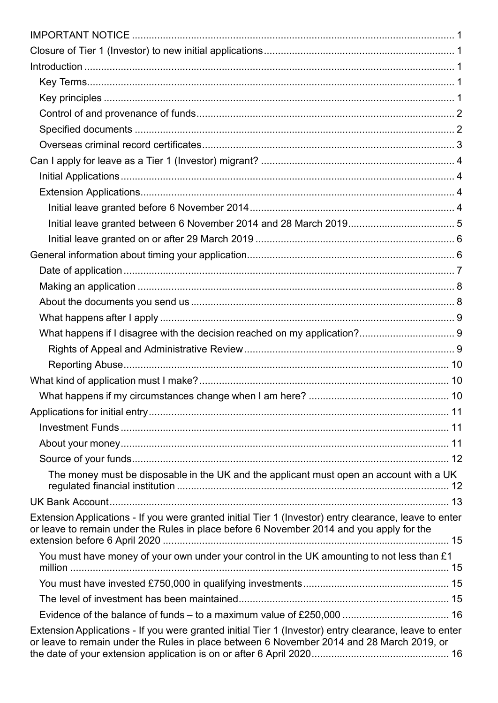| The money must be disposable in the UK and the applicant must open an account with a UK                                                                                                             |  |
|-----------------------------------------------------------------------------------------------------------------------------------------------------------------------------------------------------|--|
|                                                                                                                                                                                                     |  |
| Extension Applications - If you were granted initial Tier 1 (Investor) entry clearance, leave to enter<br>or leave to remain under the Rules in place before 6 November 2014 and you apply for the  |  |
| You must have money of your own under your control in the UK amounting to not less than £1                                                                                                          |  |
|                                                                                                                                                                                                     |  |
|                                                                                                                                                                                                     |  |
|                                                                                                                                                                                                     |  |
|                                                                                                                                                                                                     |  |
| Extension Applications - If you were granted initial Tier 1 (Investor) entry clearance, leave to enter<br>or leave to remain under the Rules in place between 6 November 2014 and 28 March 2019, or |  |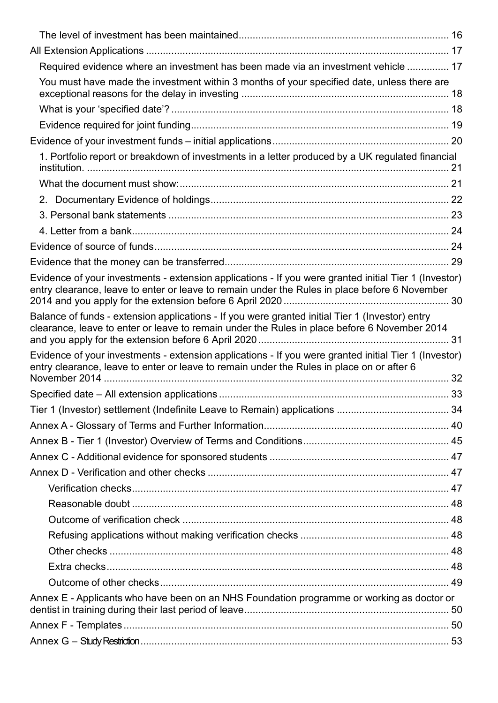| Required evidence where an investment has been made via an investment vehicle  17                                                                                                                      |  |
|--------------------------------------------------------------------------------------------------------------------------------------------------------------------------------------------------------|--|
| You must have made the investment within 3 months of your specified date, unless there are                                                                                                             |  |
|                                                                                                                                                                                                        |  |
|                                                                                                                                                                                                        |  |
|                                                                                                                                                                                                        |  |
| 1. Portfolio report or breakdown of investments in a letter produced by a UK regulated financial                                                                                                       |  |
|                                                                                                                                                                                                        |  |
|                                                                                                                                                                                                        |  |
|                                                                                                                                                                                                        |  |
|                                                                                                                                                                                                        |  |
|                                                                                                                                                                                                        |  |
|                                                                                                                                                                                                        |  |
| Evidence of your investments - extension applications - If you were granted initial Tier 1 (Investor)<br>entry clearance, leave to enter or leave to remain under the Rules in place before 6 November |  |
| Balance of funds - extension applications - If you were granted initial Tier 1 (Investor) entry<br>clearance, leave to enter or leave to remain under the Rules in place before 6 November 2014        |  |
| Evidence of your investments - extension applications - If you were granted initial Tier 1 (Investor)<br>entry clearance, leave to enter or leave to remain under the Rules in place on or after 6     |  |
|                                                                                                                                                                                                        |  |
|                                                                                                                                                                                                        |  |
|                                                                                                                                                                                                        |  |
|                                                                                                                                                                                                        |  |
|                                                                                                                                                                                                        |  |
|                                                                                                                                                                                                        |  |
|                                                                                                                                                                                                        |  |
|                                                                                                                                                                                                        |  |
|                                                                                                                                                                                                        |  |
|                                                                                                                                                                                                        |  |
|                                                                                                                                                                                                        |  |
|                                                                                                                                                                                                        |  |
|                                                                                                                                                                                                        |  |
| Annex E - Applicants who have been on an NHS Foundation programme or working as doctor or                                                                                                              |  |
|                                                                                                                                                                                                        |  |
|                                                                                                                                                                                                        |  |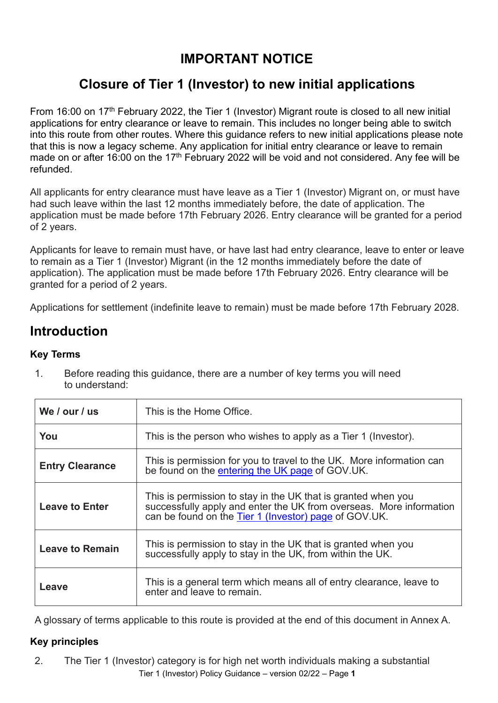# **IMPORTANT NOTICE**

# <span id="page-4-0"></span>**Closure of Tier 1 (Investor) to new initial applications**

<span id="page-4-1"></span>From 16:00 on 17<sup>th</sup> February 2022, the Tier 1 (Investor) Migrant route is closed to all new initial applications for entry clearance or leave to remain. This includes no longer being able to switch into this route from other routes. Where this guidance refers to new initial applications please note that this is now a legacy scheme. Any application for initial entry clearance or leave to remain made on or after 16:00 on the 17<sup>th</sup> February 2022 will be void and not considered. Any fee will be refunded.

All applicants for entry clearance must have leave as a Tier 1 (Investor) Migrant on, or must have had such leave within the last 12 months immediately before, the date of application. The application must be made before 17th February 2026. Entry clearance will be granted for a period of 2 years.

Applicants for leave to remain must have, or have last had entry clearance, leave to enter or leave to remain as a Tier 1 (Investor) Migrant (in the 12 months immediately before the date of application). The application must be made before 17th February 2026. Entry clearance will be granted for a period of 2 years.

Applications for settlement (indefinite leave to remain) must be made before 17th February 2028.

# <span id="page-4-2"></span>**Introduction**

#### <span id="page-4-3"></span>**Key Terms**

| We / our / us          | This is the Home Office.                                                                                                                                                                      |
|------------------------|-----------------------------------------------------------------------------------------------------------------------------------------------------------------------------------------------|
| You                    | This is the person who wishes to apply as a Tier 1 (Investor).                                                                                                                                |
| <b>Entry Clearance</b> | This is permission for you to travel to the UK. More information can<br>be found on the entering the UK page of GOV UK.                                                                       |
| <b>Leave to Enter</b>  | This is permission to stay in the UK that is granted when you<br>successfully apply and enter the UK from overseas. More information<br>can be found on the Tier 1 (Investor) page of GOV.UK. |
| <b>Leave to Remain</b> | This is permission to stay in the UK that is granted when you<br>successfully apply to stay in the UK, from within the UK.                                                                    |
| Leave                  | This is a general term which means all of entry clearance, leave to<br>enter and leave to remain.                                                                                             |

1. Before reading this guidance, there are a number of key terms you will need to understand:

A glossary of terms applicable to this route is provided at the end of this document in Annex A.

#### <span id="page-4-4"></span>**Key principles**

Tier 1 (Investor) Policy Guidance – version 02/22 – Page **1** 2. The Tier 1 (Investor) category is for high net worth individuals making a substantial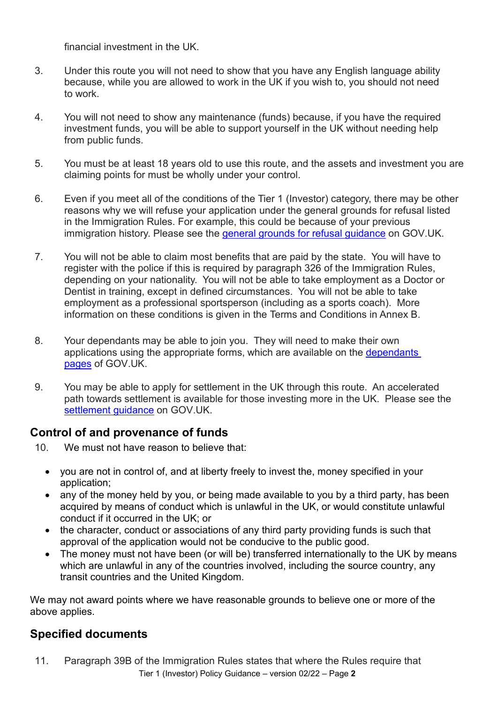financial investment in the UK.

- 3. Under this route you will not need to show that you have any English language ability because, while you are allowed to work in the UK if you wish to, you should not need to work.
- 4. You will not need to show any maintenance (funds) because, if you have the required investment funds, you will be able to support yourself in the UK without needing help from public funds.
- 5. You must be at least 18 years old to use this route, and the assets and investment you are claiming points for must be wholly under your control.
- 6. Even if you meet all of the conditions of the Tier 1 (Investor) category, there may be other reasons why we will refuse your application under the general grounds for refusal listed in the Immigration Rules. For example, this could be because of your previous immigration history. Please see the [general grounds for](https://www.gov.uk/government/publications/general-grounds-for-refusal-about-this-guidance) refusal guidance on GOV.UK.
- 7. You will not be able to claim most benefits that are paid by the state. You will have to register with the police if this is required by paragraph 326 of the Immigration Rules, depending on your nationality. You will not be able to take employment as a Doctor or Dentist in training, except in defined circumstances. You will not be able to take employment as a professional sportsperson (including as a sports coach). More information on these conditions is given in the Terms and Conditions in Annex B.
- 8. Your dependants may be able to join you. They will need to make their own applications using the appropriate forms, which are available on the dependants [pages](https://www.gov.uk/government/organisations/uk-visas-and-immigration) of GOV.UK.
- 9. You may be able to apply for settlement in the UK through this route. An accelerated path towards settlement is available for those investing more in the UK. Please see the [settlement guidance](https://www.gov.uk/government/collections/chapter-6a-settlement-immigration-directorate-instructions) on GOV.UK.

### <span id="page-5-0"></span>**Control of and provenance of funds**

- 10. We must not have reason to believe that:
	- you are not in control of, and at liberty freely to invest the, money specified in your application;
	- any of the money held by you, or being made available to you by a third party, has been acquired by means of conduct which is unlawful in the UK, or would constitute unlawful conduct if it occurred in the UK; or
	- the character, conduct or associations of any third party providing funds is such that approval of the application would not be conducive to the public good.
	- The money must not have been (or will be) transferred internationally to the UK by means which are unlawful in any of the countries involved, including the source country, any transit countries and the United Kingdom.

We may not award points where we have reasonable grounds to believe one or more of the above applies.

### <span id="page-5-1"></span>**Specified documents**

Tier 1 (Investor) Policy Guidance – version 02/22 – Page **2** 11. Paragraph 39B of the Immigration Rules states that where the Rules require that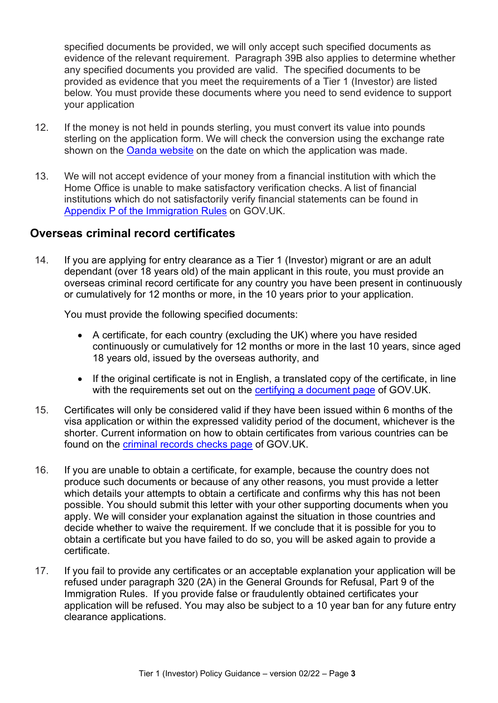specified documents be provided, we will only accept such specified documents as evidence of the relevant requirement. Paragraph 39B also applies to determine whether any specified documents you provided are valid. The specified documents to be provided as evidence that you meet the requirements of a Tier 1 (Investor) are listed below. You must provide these documents where you need to send evidence to support your application

- 12. If the money is not held in pounds sterling, you must convert its value into pounds sterling on the application form. We will check the conversion using the exchange rate shown on the [Oanda website](https://www.oanda.com/currency/converter/) on the date on which the application was made.
- 13. We will not accept evidence of your money from a financial institution with which the Home Office is unable to make satisfactory verification checks. A list of financial institutions which do not satisfactorily verify financial statements can be found in Appendix P [of the Immigration Rules](https://www.gov.uk/guidance/immigration-rules/immigration-rules-appendix-p-lists-of-financial-institutions) on GOV.UK.

#### <span id="page-6-0"></span>**Overseas criminal record certificates**

14. If you are applying for entry clearance as a Tier 1 (Investor) migrant or are an adult dependant (over 18 years old) of the main applicant in this route, you must provide an overseas criminal record certificate for any country you have been present in continuously or cumulatively for 12 months or more, in the 10 years prior to your application.

You must provide the following specified documents:

- A certificate, for each country (excluding the UK) where you have resided continuously or cumulatively for 12 months or more in the last 10 years, since aged 18 years old, issued by the overseas authority, and
- If the original certificate is not in English, a translated copy of the certificate, in line with the requirements set out on the [certifying a document page](https://www.gov.uk/certifying-a-document) of GOV.UK.
- 15. Certificates will only be considered valid if they have been issued within 6 months of the visa application or within the expressed validity period of the document, whichever is the shorter. Current information on how to obtain certificates from various countries can be found on the [criminal records checks page](https://www.gov.uk/government/publications/criminal-records-checks-for-overseas-applicants) of GOV.UK.
- 16. If you are unable to obtain a certificate, for example, because the country does not produce such documents or because of any other reasons, you must provide a letter which details your attempts to obtain a certificate and confirms why this has not been possible. You should submit this letter with your other supporting documents when you apply. We will consider your explanation against the situation in those countries and decide whether to waive the requirement. If we conclude that it is possible for you to obtain a certificate but you have failed to do so, you will be asked again to provide a certificate.
- 17. If you fail to provide any certificates or an acceptable explanation your application will be refused under paragraph 320 (2A) in the General Grounds for Refusal, Part 9 of the Immigration Rules. If you provide false or fraudulently obtained certificates your application will be refused. You may also be subject to a 10 year ban for any future entry clearance applications.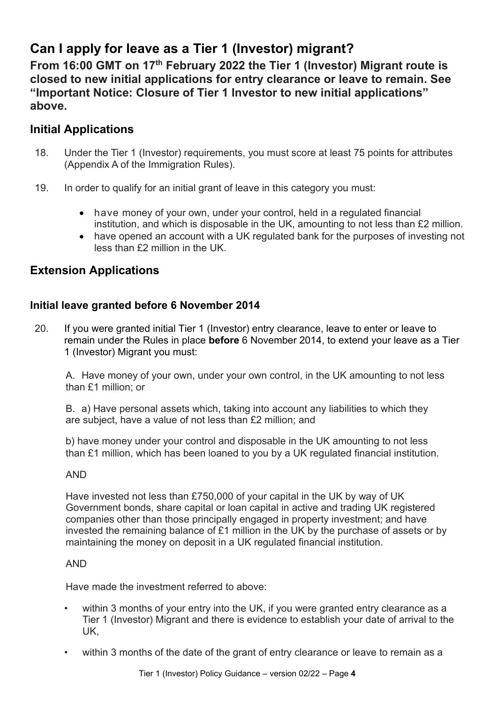# <span id="page-7-0"></span>**Can I apply for leave as a Tier 1 (Investor) migrant?**

<span id="page-7-1"></span>**From 16:00 GMT on 17th February 2022 the Tier 1 (Investor) Migrant route is closed to new initial applications for entry clearance or leave to remain. See "Important Notice: Closure of Tier 1 Investor to new initial applications" above.**

# **Initial Applications**

- 18. Under the Tier 1 (Investor) requirements, you must score at least 75 points for attributes (Appendix A of the Immigration Rules).
- 19. In order to qualify for an initial grant of leave in this category you must:
	- have money of your own, under your control, held in a regulated financial institution, and which is disposable in the UK, amounting to not less than £2 million.
	- have opened an account with a UK regulated bank for the purposes of investing not less than £2 million in the UK.

# <span id="page-7-2"></span>**Extension Applications**

### <span id="page-7-3"></span>**Initial leave granted before 6 November 2014**

20. If you were granted initial Tier 1 (Investor) entry clearance, leave to enter or leave to remain under the Rules in place **before** 6 November 2014, to extend your leave as a Tier 1 (Investor) Migrant you must:

A. Have money of your own, under your own control, in the UK amounting to not less than £1 million; or

B. a) Have personal assets which, taking into account any liabilities to which they are subject, have a value of not less than £2 million; and

b) have money under your control and disposable in the UK amounting to not less than £1 million, which has been loaned to you by a UK regulated financial institution.

#### AND

Have invested not less than £750,000 of your capital in the UK by way of UK Government bonds, share capital or loan capital in active and trading UK registered companies other than those principally engaged in property investment; and have invested the remaining balance of £1 million in the UK by the purchase of assets or by maintaining the money on deposit in a UK regulated financial institution.

#### AND

Have made the investment referred to above:

- within 3 months of your entry into the UK, if you were granted entry clearance as a Tier 1 (Investor) Migrant and there is evidence to establish your date of arrival to the UK,
- within 3 months of the date of the grant of entry clearance or leave to remain as a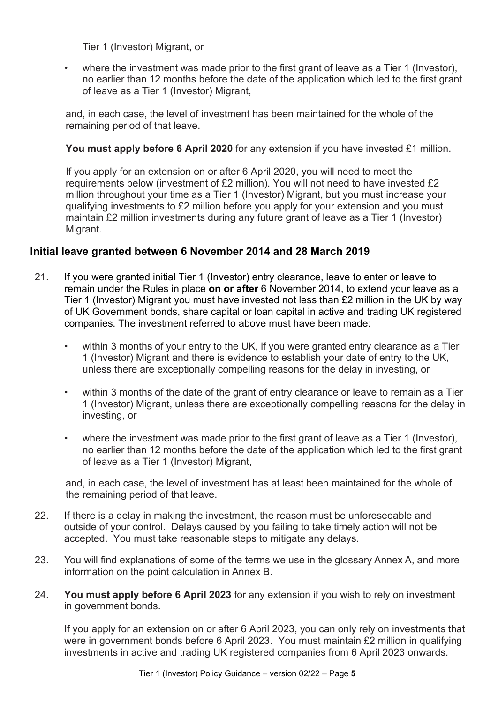Tier 1 (Investor) Migrant, or

• where the investment was made prior to the first grant of leave as a Tier 1 (Investor), no earlier than 12 months before the date of the application which led to the first grant of leave as a Tier 1 (Investor) Migrant,

and, in each case, the level of investment has been maintained for the whole of the remaining period of that leave.

#### **You must apply before 6 April 2020** for any extension if you have invested £1 million.

If you apply for an extension on or after 6 April 2020, you will need to meet the requirements below (investment of £2 million). You will not need to have invested £2 million throughout your time as a Tier 1 (Investor) Migrant, but you must increase your qualifying investments to £2 million before you apply for your extension and you must maintain £2 million investments during any future grant of leave as a Tier 1 (Investor) Migrant.

#### <span id="page-8-0"></span>**Initial leave granted between 6 November 2014 and 28 March 2019**

- 21. If you were granted initial Tier 1 (Investor) entry clearance, leave to enter or leave to remain under the Rules in place **on or after** 6 November 2014, to extend your leave as a Tier 1 (Investor) Migrant you must have invested not less than £2 million in the UK by way of UK Government bonds, share capital or loan capital in active and trading UK registered companies. The investment referred to above must have been made:
	- within 3 months of your entry to the UK, if you were granted entry clearance as a Tier 1 (Investor) Migrant and there is evidence to establish your date of entry to the UK, unless there are exceptionally compelling reasons for the delay in investing, or
	- within 3 months of the date of the grant of entry clearance or leave to remain as a Tier 1 (Investor) Migrant, unless there are exceptionally compelling reasons for the delay in investing, or
	- where the investment was made prior to the first grant of leave as a Tier 1 (Investor), no earlier than 12 months before the date of the application which led to the first grant of leave as a Tier 1 (Investor) Migrant,

and, in each case, the level of investment has at least been maintained for the whole of the remaining period of that leave.

- 22. If there is a delay in making the investment, the reason must be unforeseeable and outside of your control. Delays caused by you failing to take timely action will not be accepted. You must take reasonable steps to mitigate any delays.
- 23. You will find explanations of some of the terms we use in the glossary Annex A, and more information on the point calculation in Annex B.
- 24. **You must apply before 6 April 2023** for any extension if you wish to rely on investment in government bonds.

If you apply for an extension on or after 6 April 2023, you can only rely on investments that were in government bonds before 6 April 2023. You must maintain £2 million in qualifying investments in active and trading UK registered companies from 6 April 2023 onwards.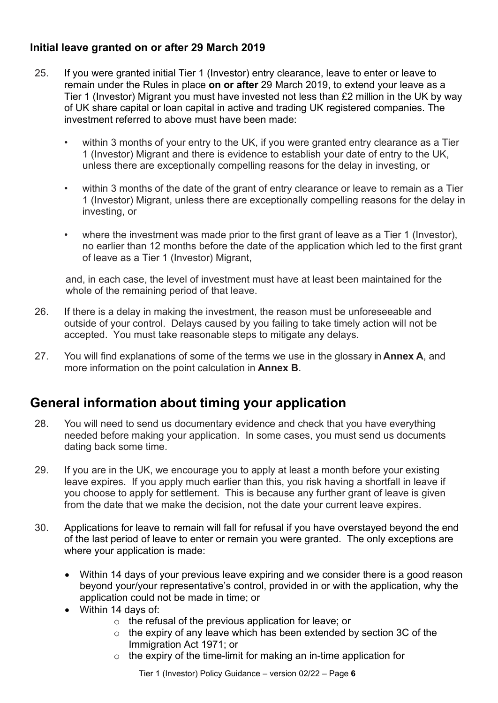### <span id="page-9-0"></span>**Initial leave granted on or after 29 March 2019**

- 25. If you were granted initial Tier 1 (Investor) entry clearance, leave to enter or leave to remain under the Rules in place **on or after** 29 March 2019, to extend your leave as a Tier 1 (Investor) Migrant you must have invested not less than £2 million in the UK by way of UK share capital or loan capital in active and trading UK registered companies. The investment referred to above must have been made:
	- within 3 months of your entry to the UK, if you were granted entry clearance as a Tier 1 (Investor) Migrant and there is evidence to establish your date of entry to the UK, unless there are exceptionally compelling reasons for the delay in investing, or
	- within 3 months of the date of the grant of entry clearance or leave to remain as a Tier 1 (Investor) Migrant, unless there are exceptionally compelling reasons for the delay in investing, or
	- where the investment was made prior to the first grant of leave as a Tier 1 (Investor), no earlier than 12 months before the date of the application which led to the first grant of leave as a Tier 1 (Investor) Migrant,

and, in each case, the level of investment must have at least been maintained for the whole of the remaining period of that leave.

- 26. If there is a delay in making the investment, the reason must be unforeseeable and outside of your control. Delays caused by you failing to take timely action will not be accepted. You must take reasonable steps to mitigate any delays.
- 27. You will find explanations of some of the terms we use in the glossary in **Annex A**, and more information on the point calculation in **Annex B**.

# <span id="page-9-1"></span>**General information about timing your application**

- 28. You will need to send us documentary evidence and check that you have everything needed before making your application. In some cases, you must send us documents dating back some time.
- 29. If you are in the UK, we encourage you to apply at least a month before your existing leave expires. If you apply much earlier than this, you risk having a shortfall in leave if you choose to apply for settlement. This is because any further grant of leave is given from the date that we make the decision, not the date your current leave expires.
- 30. Applications for leave to remain will fall for refusal if you have overstayed beyond the end of the last period of leave to enter or remain you were granted. The only exceptions are where your application is made:
	- Within 14 days of your previous leave expiring and we consider there is a good reason beyond your/your representative's control, provided in or with the application, why the application could not be made in time; or
	- Within 14 days of:
		- o the refusal of the previous application for leave; or
		- $\circ$  the expiry of any leave which has been extended by section 3C of the Immigration Act 1971; or
		- $\circ$  the expiry of the time-limit for making an in-time application for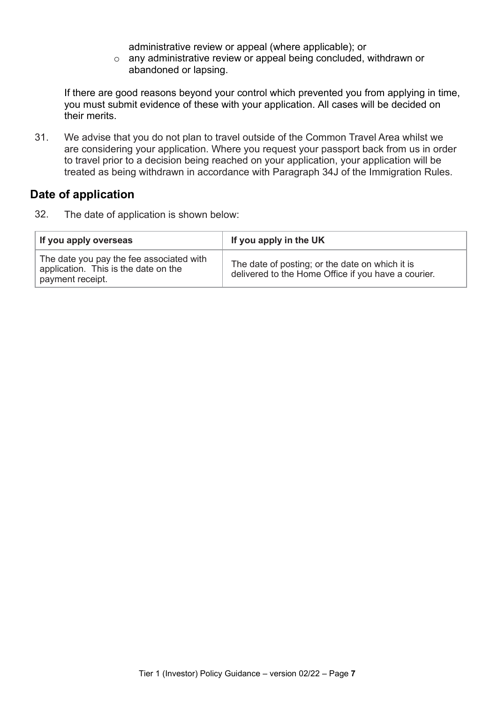administrative review or appeal (where applicable); or

o any administrative review or appeal being concluded, withdrawn or abandoned or lapsing.

If there are good reasons beyond your control which prevented you from applying in time, you must submit evidence of these with your application. All cases will be decided on their merits.

31. We advise that you do not plan to travel outside of the Common Travel Area whilst we are considering your application. Where you request your passport back from us in order to travel prior to a decision being reached on your application, your application will be treated as being withdrawn in accordance with Paragraph 34J of the Immigration Rules.

#### <span id="page-10-0"></span>**Date of application**

32. The date of application is shown below:

| If you apply overseas                                                                                | If you apply in the UK                                                                                 |
|------------------------------------------------------------------------------------------------------|--------------------------------------------------------------------------------------------------------|
| The date you pay the fee associated with<br>application. This is the date on the<br>payment receipt. | The date of posting; or the date on which it is<br>delivered to the Home Office if you have a courier. |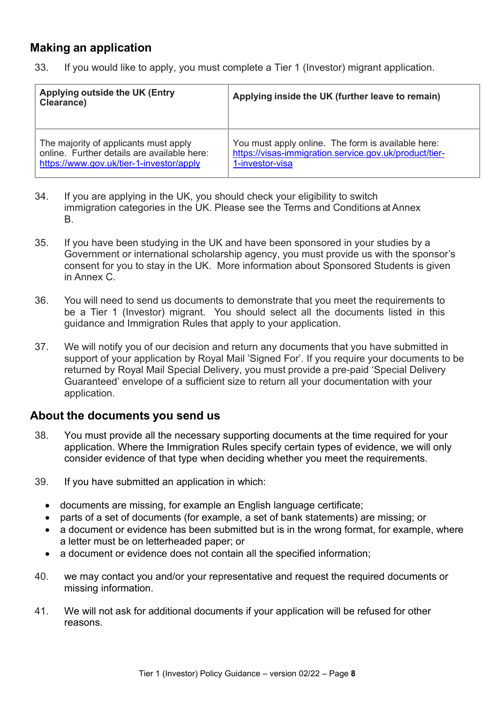### <span id="page-11-0"></span>**Making an application**

33. If you would like to apply, you must complete a Tier 1 (Investor) migrant application.

| Applying outside the UK (Entry<br><b>Clearance)</b> | Applying inside the UK (further leave to remain)       |
|-----------------------------------------------------|--------------------------------------------------------|
| The majority of applicants must apply               | You must apply online. The form is available here:     |
| online. Further details are available here:         | https://visas-immigration.service.gov.uk/product/tier- |
| https://www.gov.uk/tier-1-investor/apply            | 1-investor-visa                                        |

- 34. If you are applying in the UK, you should check your eligibility to switch immigration categories in the UK. Please see the Terms and Conditions at Annex B.
- 35. If you have been studying in the UK and have been sponsored in your studies by a Government or international scholarship agency, you must provide us with the sponsor's consent for you to stay in the UK. More information about Sponsored Students is given in Annex C.
- 36. You will need to send us documents to demonstrate that you meet the requirements to be a Tier 1 (Investor) migrant. You should select all the documents listed in this guidance and Immigration Rules that apply to your application.
- 37. We will notify you of our decision and return any documents that you have submitted in support of your application by Royal Mail 'Signed For'. If you require your documents to be returned by Royal Mail Special Delivery, you must provide a pre-paid 'Special Delivery Guaranteed' envelope of a sufficient size to return all your documentation with your application.

### <span id="page-11-1"></span>**About the documents you send us**

- 38. You must provide all the necessary supporting documents at the time required for your application. Where the Immigration Rules specify certain types of evidence, we will only consider evidence of that type when deciding whether you meet the requirements.
- 39. If you have submitted an application in which:
	- documents are missing, for example an English language certificate;
	- parts of a set of documents (for example, a set of bank statements) are missing; or
	- a document or evidence has been submitted but is in the wrong format, for example, where a letter must be on letterheaded paper; or
	- a document or evidence does not contain all the specified information;
- 40. we may contact you and/or your representative and request the required documents or missing information.
- 41. We will not ask for additional documents if your application will be refused for other reasons.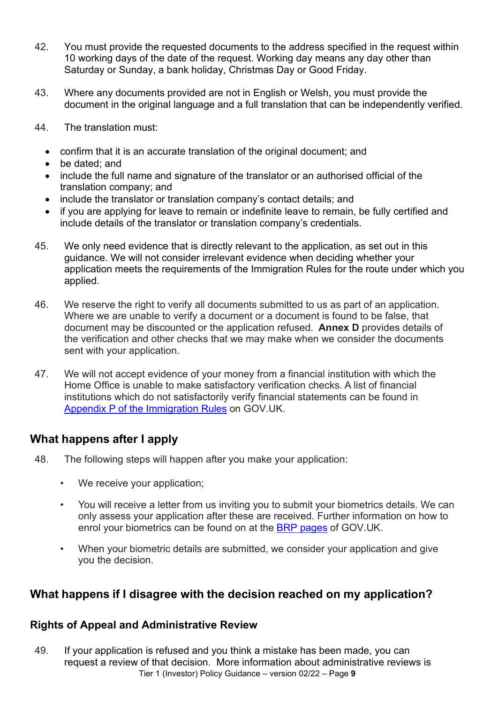- 42. You must provide the requested documents to the address specified in the request within 10 working days of the date of the request. Working day means any day other than Saturday or Sunday, a bank holiday, Christmas Day or Good Friday.
- 43. Where any documents provided are not in English or Welsh, you must provide the document in the original language and a full translation that can be independently verified.
- 44. The translation must:
	- confirm that it is an accurate translation of the original document; and
	- be dated; and
	- include the full name and signature of the translator or an authorised official of the translation company; and
	- include the translator or translation company's contact details; and
	- if you are applying for leave to remain or indefinite leave to remain, be fully certified and include details of the translator or translation company's credentials.
- 45. We only need evidence that is directly relevant to the application, as set out in this guidance. We will not consider irrelevant evidence when deciding whether your application meets the requirements of the Immigration Rules for the route under which you applied.
- 46. We reserve the right to verify all documents submitted to us as part of an application. Where we are unable to verify a document or a document is found to be false, that document may be discounted or the application refused. **Annex D** provides details of the verification and other checks that we may make when we consider the documents sent with your application.
- 47. We will not accept evidence of your money from a financial institution with which the Home Office is unable to make satisfactory verification checks. A list of financial institutions which do not satisfactorily verify financial statements can be found in Appendix P [of the Immigration Rules](https://www.gov.uk/guidance/immigration-rules/immigration-rules-appendix-p-lists-of-financial-institutions) on GOV.UK.

### <span id="page-12-0"></span>**What happens after I apply**

- 48. The following steps will happen after you make your application:
	- We receive your application;
	- You will receive a letter from us inviting you to submit your biometrics details. We can only assess your application after these are received. Further information on how to enrol your biometrics can be found on at the [BRP pages](https://www.gov.uk/government/publications/brp-requirements-and-replacement-procedures) of GOV.UK.
	- When your biometric details are submitted, we consider your application and give you the decision.

### <span id="page-12-1"></span>**What happens if I disagree with the decision reached on my application?**

#### <span id="page-12-2"></span>**Rights of Appeal and Administrative Review**

Tier 1 (Investor) Policy Guidance – version 02/22 – Page **9** 49. If your application is refused and you think a mistake has been made, you can request a review of that decision. More information about administrative reviews is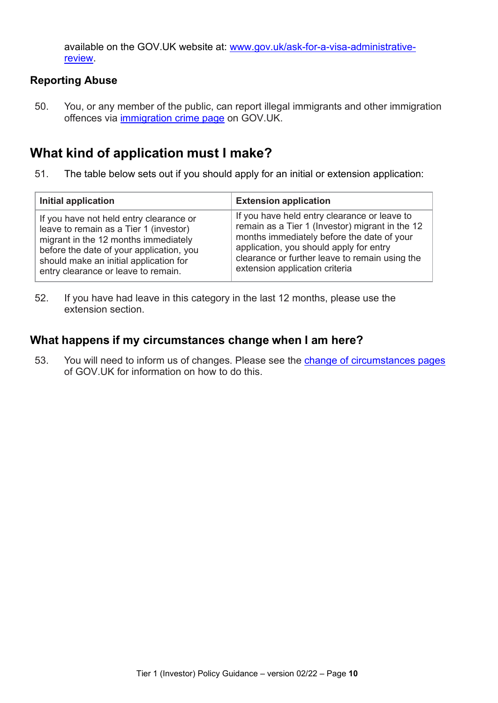available on the GOV.UK website at: [www.gov.uk/ask-for-a-visa-administrative](http://www.gov.uk/ask-for-a-visa-administrative-review)[review.](http://www.gov.uk/ask-for-a-visa-administrative-review)

### <span id="page-13-0"></span>**Reporting Abuse**

50. You, or any member of the public, can report illegal immigrants and other immigration offences via [immigration crime page](https://www.gov.uk/report-immigration-crime) on GOV.UK.

# <span id="page-13-1"></span>**What kind of application must I make?**

51. The table below sets out if you should apply for an initial or extension application:

| Initial application                      | <b>Extension application</b>                    |
|------------------------------------------|-------------------------------------------------|
| If you have not held entry clearance or  | If you have held entry clearance or leave to    |
| leave to remain as a Tier 1 (investor)   | remain as a Tier 1 (Investor) migrant in the 12 |
| migrant in the 12 months immediately     | months immediately before the date of your      |
| before the date of your application, you | application, you should apply for entry         |
| should make an initial application for   | clearance or further leave to remain using the  |
| entry clearance or leave to remain.      | extension application criteria                  |

52. If you have had leave in this category in the last 12 months, please use the extension section.

### <span id="page-13-2"></span>**What happens if my circumstances change when I am here?**

53. You will need to inform us of changes. Please see the [change of circumstances pages](https://www.gov.uk/change-circumstances-visa-brp) of GOV.UK for information on how to do this.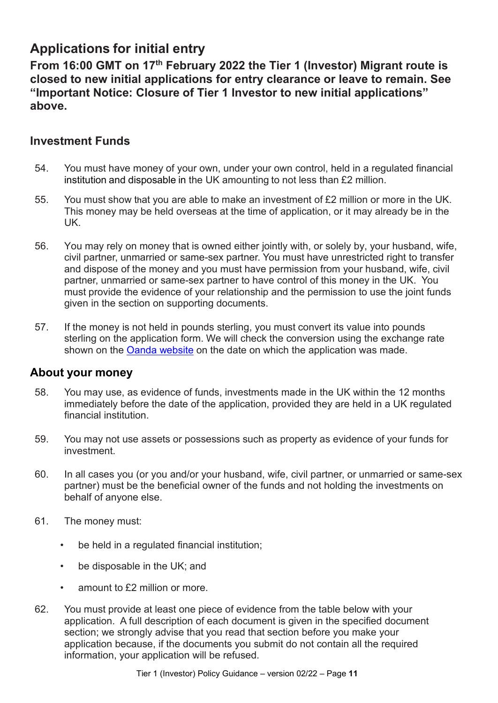# <span id="page-14-0"></span>**Applications for initial entry**

**From 16:00 GMT on 17th February 2022 the Tier 1 (Investor) Migrant route is closed to new initial applications for entry clearance or leave to remain. See "Important Notice: Closure of Tier 1 Investor to new initial applications" above.**

# <span id="page-14-1"></span>**Investment Funds**

- 54. You must have money of your own, under your own control, held in a regulated financial institution and disposable in the UK amounting to not less than £2 million.
- 55. You must show that you are able to make an investment of £2 million or more in the UK. This money may be held overseas at the time of application, or it may already be in the UK.
- 56. You may rely on money that is owned either jointly with, or solely by, your husband, wife, civil partner, unmarried or same-sex partner. You must have unrestricted right to transfer and dispose of the money and you must have permission from your husband, wife, civil partner, unmarried or same-sex partner to have control of this money in the UK. You must provide the evidence of your relationship and the permission to use the joint funds given in the section on supporting documents.
- 57. If the money is not held in pounds sterling, you must convert its value into pounds sterling on the application form. We will check the conversion using the exchange rate shown on the **Oanda website** on the date on which the application was made.

### <span id="page-14-2"></span>**About your money**

- 58. You may use, as evidence of funds, investments made in the UK within the 12 months immediately before the date of the application, provided they are held in a UK regulated financial institution.
- 59. You may not use assets or possessions such as property as evidence of your funds for investment.
- 60. In all cases you (or you and/or your husband, wife, civil partner, or unmarried or same-sex partner) must be the beneficial owner of the funds and not holding the investments on behalf of anyone else.
- 61. The money must:
	- be held in a regulated financial institution;
	- be disposable in the UK; and
	- amount to £2 million or more.
- 62. You must provide at least one piece of evidence from the table below with your application. A full description of each document is given in the specified document section; we strongly advise that you read that section before you make your application because, if the documents you submit do not contain all the required information, your application will be refused.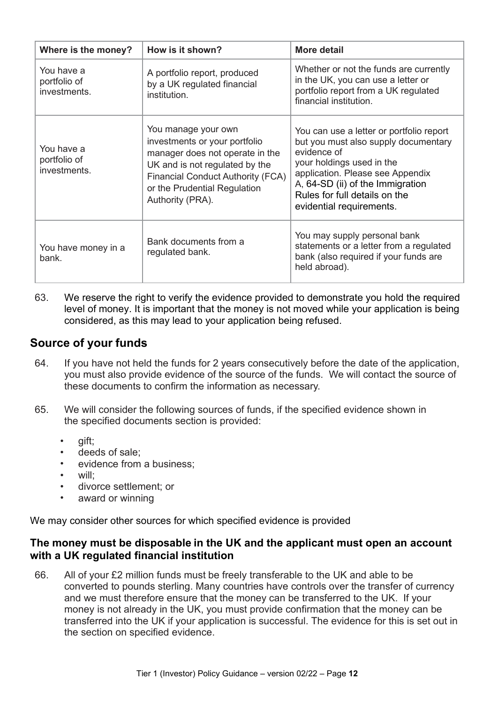| Where is the money?                        | How is it shown?                                                                                                                                                                                                          | <b>More detail</b>                                                                                                                                                                                                                                                |
|--------------------------------------------|---------------------------------------------------------------------------------------------------------------------------------------------------------------------------------------------------------------------------|-------------------------------------------------------------------------------------------------------------------------------------------------------------------------------------------------------------------------------------------------------------------|
| You have a<br>portfolio of<br>investments. | A portfolio report, produced<br>by a UK regulated financial<br>institution.                                                                                                                                               | Whether or not the funds are currently<br>in the UK, you can use a letter or<br>portfolio report from a UK regulated<br>financial institution.                                                                                                                    |
| You have a<br>portfolio of<br>investments. | You manage your own<br>investments or your portfolio<br>manager does not operate in the<br>UK and is not regulated by the<br><b>Financial Conduct Authority (FCA)</b><br>or the Prudential Regulation<br>Authority (PRA). | You can use a letter or portfolio report<br>but you must also supply documentary<br>evidence of<br>your holdings used in the<br>application. Please see Appendix<br>A, 64-SD (ii) of the Immigration<br>Rules for full details on the<br>evidential requirements. |
| You have money in a<br>bank.               | Bank documents from a<br>regulated bank.                                                                                                                                                                                  | You may supply personal bank<br>statements or a letter from a regulated<br>bank (also required if your funds are<br>held abroad).                                                                                                                                 |

63. We reserve the right to verify the evidence provided to demonstrate you hold the required level of money. It is important that the money is not moved while your application is being considered, as this may lead to your application being refused.

### <span id="page-15-0"></span>**Source of your funds**

- 64. If you have not held the funds for 2 years consecutively before the date of the application, you must also provide evidence of the source of the funds. We will contact the source of these documents to confirm the information as necessary.
- 65. We will consider the following sources of funds, if the specified evidence shown in the specified documents section is provided:
	- gift;
	- deeds of sale:
	- evidence from a business;
	- will;
	- divorce settlement; or
	- award or winning

We may consider other sources for which specified evidence is provided

#### <span id="page-15-1"></span>**The money must be disposable in the UK and the applicant must open an account with a UK regulated financial institution**

66. All of your £2 million funds must be freely transferable to the UK and able to be converted to pounds sterling. Many countries have controls over the transfer of currency and we must therefore ensure that the money can be transferred to the UK. If your money is not already in the UK, you must provide confirmation that the money can be transferred into the UK if your application is successful. The evidence for this is set out in the section on specified evidence.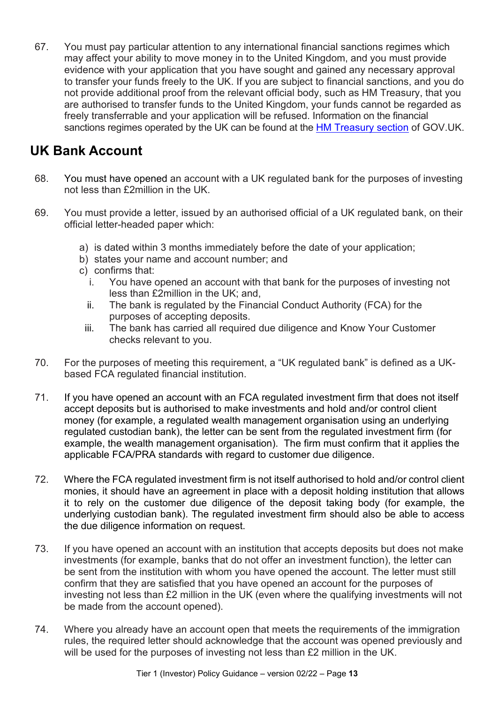67. You must pay particular attention to any international financial sanctions regimes which may affect your ability to move money in to the United Kingdom, and you must provide evidence with your application that you have sought and gained any necessary approval to transfer your funds freely to the UK. If you are subject to financial sanctions, and you do not provide additional proof from the relevant official body, such as HM Treasury, that you are authorised to transfer funds to the United Kingdom, your funds cannot be regarded as freely transferrable and your application will be refused. Information on the financial sanctions regimes operated by the UK can be found at the **HM Treasury section** of GOV.UK.

# <span id="page-16-0"></span>**UK Bank Account**

- 68. You must have opened an account with a UK regulated bank for the purposes of investing not less than £2million in the UK.
- 69. You must provide a letter, issued by an authorised official of a UK regulated bank, on their official letter-headed paper which:
	- a) is dated within 3 months immediately before the date of your application;
	- b) states your name and account number; and
	- c) confirms that:
		- i. You have opened an account with that bank for the purposes of investing not less than £2million in the UK; and,
		- ii. The bank is regulated by the Financial Conduct Authority (FCA) for the purposes of accepting deposits.
		- iii. The bank has carried all required due diligence and Know Your Customer checks relevant to you.
- 70. For the purposes of meeting this requirement, a "UK regulated bank" is defined as a UKbased FCA regulated financial institution.
- 71. If you have opened an account with an FCA regulated investment firm that does not itself accept deposits but is authorised to make investments and hold and/or control client money (for example, a regulated wealth management organisation using an underlying regulated custodian bank), the letter can be sent from the regulated investment firm (for example, the wealth management organisation). The firm must confirm that it applies the applicable FCA/PRA standards with regard to customer due diligence.
- 72. Where the FCA regulated investment firm is not itself authorised to hold and/or control client monies, it should have an agreement in place with a deposit holding institution that allows it to rely on the customer due diligence of the deposit taking body (for example, the underlying custodian bank). The regulated investment firm should also be able to access the due diligence information on request.
- 73. If you have opened an account with an institution that accepts deposits but does not make investments (for example, banks that do not offer an investment function), the letter can be sent from the institution with whom you have opened the account. The letter must still confirm that they are satisfied that you have opened an account for the purposes of investing not less than £2 million in the UK (even where the qualifying investments will not be made from the account opened).
- 74. Where you already have an account open that meets the requirements of the immigration rules, the required letter should acknowledge that the account was opened previously and will be used for the purposes of investing not less than £2 million in the UK.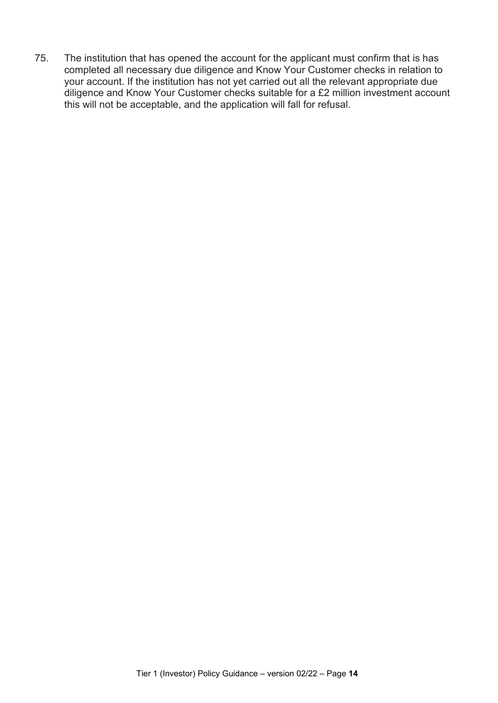75. The institution that has opened the account for the applicant must confirm that is has completed all necessary due diligence and Know Your Customer checks in relation to your account. If the institution has not yet carried out all the relevant appropriate due diligence and Know Your Customer checks suitable for a £2 million investment account this will not be acceptable, and the application will fall for refusal.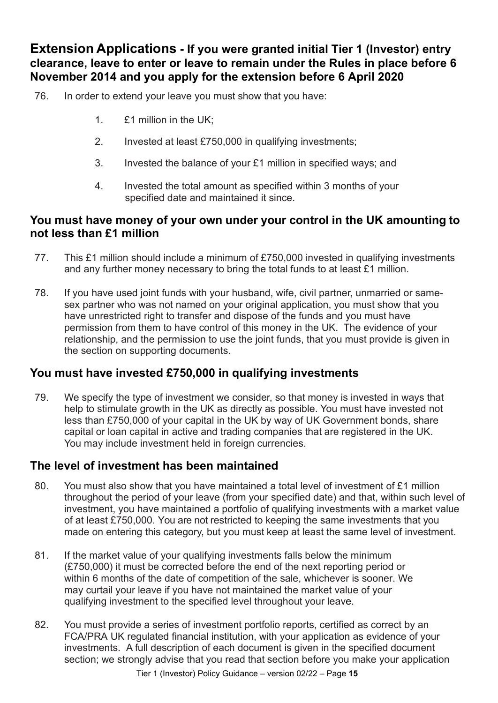<span id="page-18-0"></span>**Extension Applications - If you were granted initial Tier 1 (Investor) entry clearance, leave to enter or leave to remain under the Rules in place before 6 November 2014 and you apply for the extension before 6 April 2020**

- 76. In order to extend your leave you must show that you have:
	- 1. £1 million in the UK;
	- 2. Invested at least £750,000 in qualifying investments;
	- 3. Invested the balance of your £1 million in specified ways; and
	- 4. Invested the total amount as specified within 3 months of your specified date and maintained it since.

### <span id="page-18-1"></span>**You must have money of your own under your control in the UK amounting to not less than £1 million**

- 77. This £1 million should include a minimum of £750,000 invested in qualifying investments and any further money necessary to bring the total funds to at least £1 million.
- 78. If you have used joint funds with your husband, wife, civil partner, unmarried or samesex partner who was not named on your original application, you must show that you have unrestricted right to transfer and dispose of the funds and you must have permission from them to have control of this money in the UK. The evidence of your relationship, and the permission to use the joint funds, that you must provide is given in the section on supporting documents.

# <span id="page-18-2"></span>**You must have invested £750,000 in qualifying investments**

79. We specify the type of investment we consider, so that money is invested in ways that help to stimulate growth in the UK as directly as possible. You must have invested not less than £750,000 of your capital in the UK by way of UK Government bonds, share capital or loan capital in active and trading companies that are registered in the UK. You may include investment held in foreign currencies.

### <span id="page-18-3"></span>**The level of investment has been maintained**

- 80. You must also show that you have maintained a total level of investment of £1 million throughout the period of your leave (from your specified date) and that, within such level of investment, you have maintained a portfolio of qualifying investments with a market value of at least £750,000. You are not restricted to keeping the same investments that you made on entering this category, but you must keep at least the same level of investment.
- 81. If the market value of your qualifying investments falls below the minimum (£750,000) it must be corrected before the end of the next reporting period or within 6 months of the date of competition of the sale, whichever is sooner. We may curtail your leave if you have not maintained the market value of your qualifying investment to the specified level throughout your leave.
- 82. You must provide a series of investment portfolio reports, certified as correct by an FCA/PRA UK regulated financial institution, with your application as evidence of your investments. A full description of each document is given in the specified document section; we strongly advise that you read that section before you make your application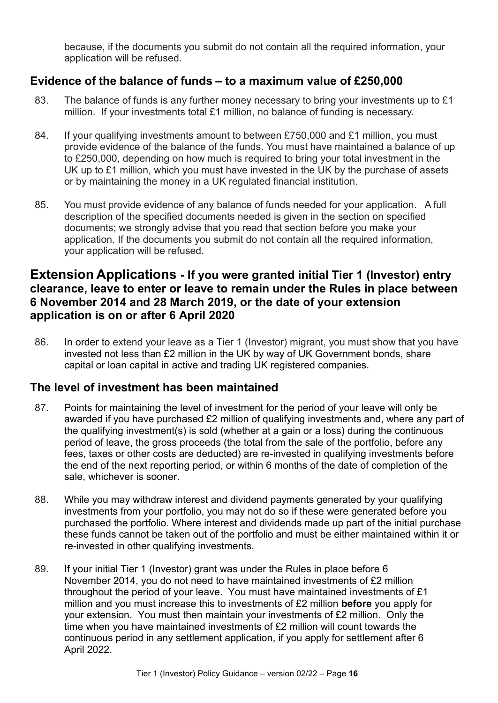because, if the documents you submit do not contain all the required information, your application will be refused.

### <span id="page-19-0"></span>**Evidence of the balance of funds – to a maximum value of £250,000**

- 83. The balance of funds is any further money necessary to bring your investments up to  $£1$ million. If your investments total £1 million, no balance of funding is necessary.
- 84. If your qualifying investments amount to between £750,000 and £1 million, you must provide evidence of the balance of the funds. You must have maintained a balance of up to £250,000, depending on how much is required to bring your total investment in the UK up to £1 million, which you must have invested in the UK by the purchase of assets or by maintaining the money in a UK regulated financial institution.
- 85. You must provide evidence of any balance of funds needed for your application. A full description of the specified documents needed is given in the section on specified documents; we strongly advise that you read that section before you make your application. If the documents you submit do not contain all the required information, your application will be refused.

### <span id="page-19-1"></span>**Extension Applications - If you were granted initial Tier 1 (Investor) entry clearance, leave to enter or leave to remain under the Rules in place between 6 November 2014 and 28 March 2019, or the date of your extension application is on or after 6 April 2020**

86. In order to extend your leave as a Tier 1 (Investor) migrant, you must show that you have invested not less than £2 million in the UK by way of UK Government bonds, share capital or loan capital in active and trading UK registered companies.

# <span id="page-19-2"></span>**The level of investment has been maintained**

- 87. Points for maintaining the level of investment for the period of your leave will only be awarded if you have purchased £2 million of qualifying investments and, where any part of the qualifying investment(s) is sold (whether at a gain or a loss) during the continuous period of leave, the gross proceeds (the total from the sale of the portfolio, before any fees, taxes or other costs are deducted) are re-invested in qualifying investments before the end of the next reporting period, or within 6 months of the date of completion of the sale, whichever is sooner.
- 88. While you may withdraw interest and dividend payments generated by your qualifying investments from your portfolio, you may not do so if these were generated before you purchased the portfolio. Where interest and dividends made up part of the initial purchase these funds cannot be taken out of the portfolio and must be either maintained within it or re-invested in other qualifying investments.
- 89. If your initial Tier 1 (Investor) grant was under the Rules in place before 6 November 2014, you do not need to have maintained investments of £2 million throughout the period of your leave. You must have maintained investments of £1 million and you must increase this to investments of £2 million **before** you apply for your extension. You must then maintain your investments of £2 million. Only the time when you have maintained investments of £2 million will count towards the continuous period in any settlement application, if you apply for settlement after 6 April 2022.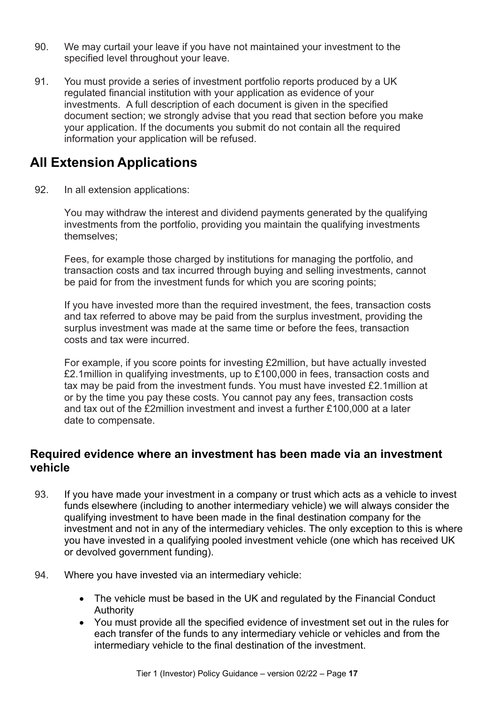- 90. We may curtail your leave if you have not maintained your investment to the specified level throughout your leave.
- 91. You must provide a series of investment portfolio reports produced by a UK regulated financial institution with your application as evidence of your investments. A full description of each document is given in the specified document section; we strongly advise that you read that section before you make your application. If the documents you submit do not contain all the required information your application will be refused.

# <span id="page-20-0"></span>**All Extension Applications**

92. In all extension applications:

You may withdraw the interest and dividend payments generated by the qualifying investments from the portfolio, providing you maintain the qualifying investments themselves;

Fees, for example those charged by institutions for managing the portfolio, and transaction costs and tax incurred through buying and selling investments, cannot be paid for from the investment funds for which you are scoring points;

If you have invested more than the required investment, the fees, transaction costs and tax referred to above may be paid from the surplus investment, providing the surplus investment was made at the same time or before the fees, transaction costs and tax were incurred.

For example, if you score points for investing £2million, but have actually invested £2.1million in qualifying investments, up to £100,000 in fees, transaction costs and tax may be paid from the investment funds. You must have invested £2.1million at or by the time you pay these costs. You cannot pay any fees, transaction costs and tax out of the £2million investment and invest a further £100,000 at a later date to compensate.

### <span id="page-20-1"></span>**Required evidence where an investment has been made via an investment vehicle**

- 93. If you have made your investment in a company or trust which acts as a vehicle to invest funds elsewhere (including to another intermediary vehicle) we will always consider the qualifying investment to have been made in the final destination company for the investment and not in any of the intermediary vehicles. The only exception to this is where you have invested in a qualifying pooled investment vehicle (one which has received UK or devolved government funding).
- 94. Where you have invested via an intermediary vehicle:
	- The vehicle must be based in the UK and regulated by the Financial Conduct Authority
	- You must provide all the specified evidence of investment set out in the rules for each transfer of the funds to any intermediary vehicle or vehicles and from the intermediary vehicle to the final destination of the investment.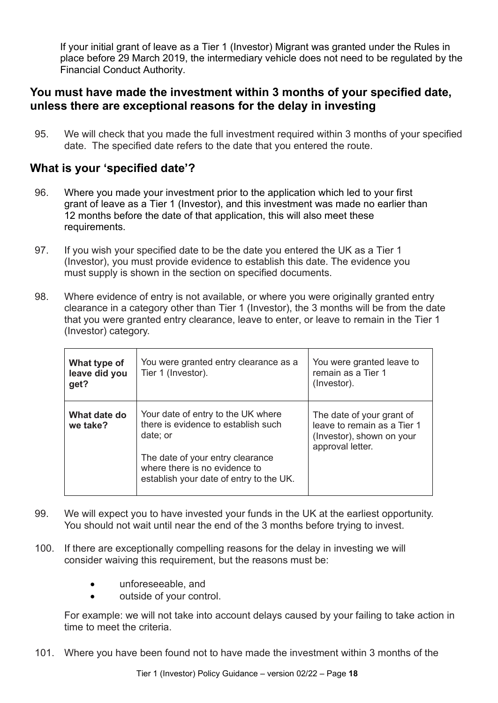If your initial grant of leave as a Tier 1 (Investor) Migrant was granted under the Rules in place before 29 March 2019, the intermediary vehicle does not need to be regulated by the Financial Conduct Authority.

### <span id="page-21-0"></span>**You must have made the investment within 3 months of your specified date, unless there are exceptional reasons for the delay in investing**

95. We will check that you made the full investment required within 3 months of your specified date. The specified date refers to the date that you entered the route.

### <span id="page-21-1"></span>**What is your 'specified date'?**

- 96. Where you made your investment prior to the application which led to your first grant of leave as a Tier 1 (Investor), and this investment was made no earlier than 12 months before the date of that application, this will also meet these requirements.
- 97. If you wish your specified date to be the date you entered the UK as a Tier 1 (Investor), you must provide evidence to establish this date. The evidence you must supply is shown in the section on specified documents.
- 98. Where evidence of entry is not available, or where you were originally granted entry clearance in a category other than Tier 1 (Investor), the 3 months will be from the date that you were granted entry clearance, leave to enter, or leave to remain in the Tier 1 (Investor) category.

| What type of<br>leave did you<br>get? | You were granted entry clearance as a<br>Tier 1 (Investor).                                                  | You were granted leave to<br>remain as a Tier 1<br>(Investor).                                            |
|---------------------------------------|--------------------------------------------------------------------------------------------------------------|-----------------------------------------------------------------------------------------------------------|
| What date do<br>we take?              | Your date of entry to the UK where<br>there is evidence to establish such<br>date; or                        | The date of your grant of<br>leave to remain as a Tier 1<br>(Investor), shown on your<br>approval letter. |
|                                       | The date of your entry clearance<br>where there is no evidence to<br>establish your date of entry to the UK. |                                                                                                           |

- 99. We will expect you to have invested your funds in the UK at the earliest opportunity. You should not wait until near the end of the 3 months before trying to invest.
- 100. If there are exceptionally compelling reasons for the delay in investing we will consider waiving this requirement, but the reasons must be:
	- unforeseeable, and
	- outside of your control.

For example: we will not take into account delays caused by your failing to take action in time to meet the criteria.

101. Where you have been found not to have made the investment within 3 months of the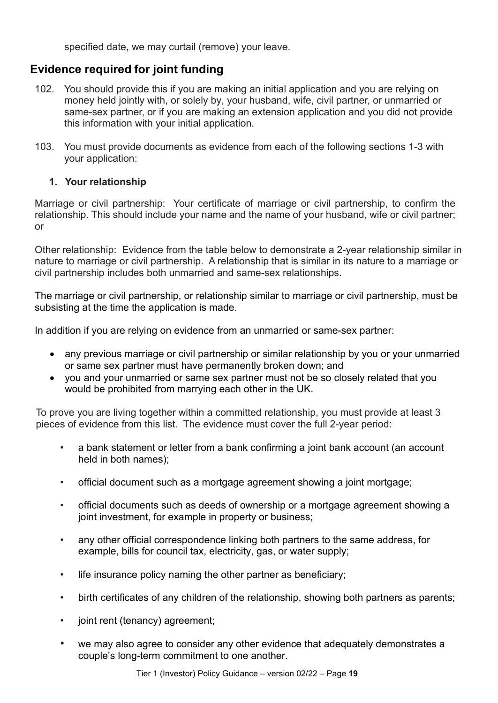specified date, we may curtail (remove) your leave.

# <span id="page-22-0"></span>**Evidence required for joint funding**

- 102. You should provide this if you are making an initial application and you are relying on money held jointly with, or solely by, your husband, wife, civil partner, or unmarried or same-sex partner, or if you are making an extension application and you did not provide this information with your initial application.
- 103. You must provide documents as evidence from each of the following sections 1-3 with your application:

#### **1. Your relationship**

Marriage or civil partnership: Your certificate of marriage or civil partnership, to confirm the relationship. This should include your name and the name of your husband, wife or civil partner; or

Other relationship: Evidence from the table below to demonstrate a 2-year relationship similar in nature to marriage or civil partnership. A relationship that is similar in its nature to a marriage or civil partnership includes both unmarried and same-sex relationships.

The marriage or civil partnership, or relationship similar to marriage or civil partnership, must be subsisting at the time the application is made.

In addition if you are relying on evidence from an unmarried or same-sex partner:

- any previous marriage or civil partnership or similar relationship by you or your unmarried or same sex partner must have permanently broken down; and
- you and your unmarried or same sex partner must not be so closely related that you would be prohibited from marrying each other in the UK.

To prove you are living together within a committed relationship, you must provide at least 3 pieces of evidence from this list. The evidence must cover the full 2-year period:

- a bank statement or letter from a bank confirming a joint bank account (an account held in both names);
- official document such as a mortgage agreement showing a joint mortgage;
- official documents such as deeds of ownership or a mortgage agreement showing a joint investment, for example in property or business;
- any other official correspondence linking both partners to the same address, for example, bills for council tax, electricity, gas, or water supply;
- life insurance policy naming the other partner as beneficiary;
- birth certificates of any children of the relationship, showing both partners as parents;
- joint rent (tenancy) agreement;
- we may also agree to consider any other evidence that adequately demonstrates a couple's long-term commitment to one another.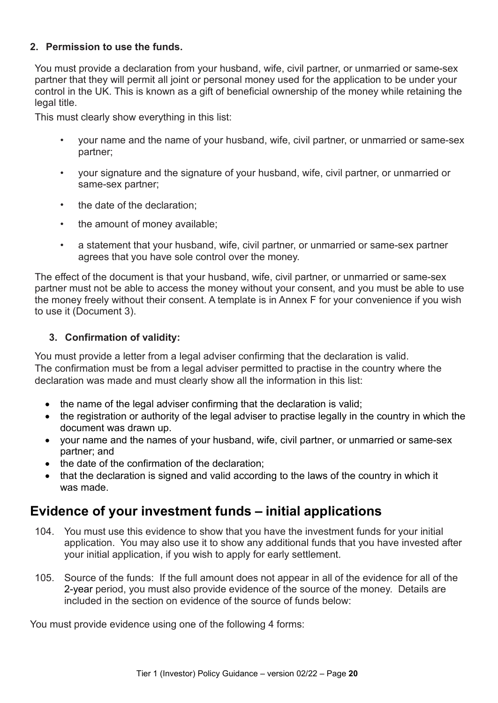#### **2. Permission to use the funds.**

You must provide a declaration from your husband, wife, civil partner, or unmarried or same-sex partner that they will permit all joint or personal money used for the application to be under your control in the UK. This is known as a gift of beneficial ownership of the money while retaining the legal title.

This must clearly show everything in this list:

- your name and the name of your husband, wife, civil partner, or unmarried or same-sex partner;
- your signature and the signature of your husband, wife, civil partner, or unmarried or same-sex partner;
- the date of the declaration;
- the amount of money available;
- a statement that your husband, wife, civil partner, or unmarried or same-sex partner agrees that you have sole control over the money.

The effect of the document is that your husband, wife, civil partner, or unmarried or same-sex partner must not be able to access the money without your consent, and you must be able to use the money freely without their consent. A template is in Annex F for your convenience if you wish to use it (Document 3).

### **3. Confirmation of validity:**

You must provide a letter from a legal adviser confirming that the declaration is valid. The confirmation must be from a legal adviser permitted to practise in the country where the declaration was made and must clearly show all the information in this list:

- the name of the legal adviser confirming that the declaration is valid;
- the registration or authority of the legal adviser to practise legally in the country in which the document was drawn up.
- your name and the names of your husband, wife, civil partner, or unmarried or same-sex partner; and
- the date of the confirmation of the declaration:
- that the declaration is signed and valid according to the laws of the country in which it was made.

# <span id="page-23-0"></span>**Evidence of your investment funds – initial applications**

- 104. You must use this evidence to show that you have the investment funds for your initial application. You may also use it to show any additional funds that you have invested after your initial application, if you wish to apply for early settlement.
- 105. Source of the funds: If the full amount does not appear in all of the evidence for all of the 2-year period, you must also provide evidence of the source of the money. Details are included in the section on evidence of the source of funds below:

You must provide evidence using one of the following 4 forms: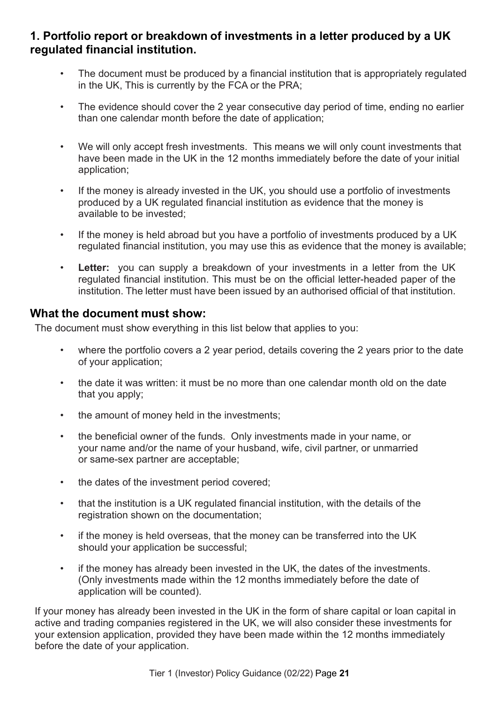### <span id="page-24-0"></span>**1. Portfolio report or breakdown of investments in a letter produced by a UK regulated financial institution.**

- The document must be produced by a financial institution that is appropriately regulated in the UK, This is currently by the FCA or the PRA;
- The evidence should cover the 2 year consecutive day period of time, ending no earlier than one calendar month before the date of application;
- We will only accept fresh investments. This means we will only count investments that have been made in the UK in the 12 months immediately before the date of your initial application;
- If the money is already invested in the UK, you should use a portfolio of investments produced by a UK regulated financial institution as evidence that the money is available to be invested;
- If the money is held abroad but you have a portfolio of investments produced by a UK regulated financial institution, you may use this as evidence that the money is available;
- **Letter:** you can supply a breakdown of your investments in a letter from the UK regulated financial institution. This must be on the official letter-headed paper of the institution. The letter must have been issued by an authorised official of that institution.

### <span id="page-24-1"></span>**What the document must show:**

The document must show everything in this list below that applies to you:

- where the portfolio covers a 2 year period, details covering the 2 years prior to the date of your application;
- the date it was written: it must be no more than one calendar month old on the date that you apply;
- the amount of money held in the investments;
- the beneficial owner of the funds. Only investments made in your name, or your name and/or the name of your husband, wife, civil partner, or unmarried or same-sex partner are acceptable;
- the dates of the investment period covered;
- that the institution is a UK regulated financial institution, with the details of the registration shown on the documentation;
- if the money is held overseas, that the money can be transferred into the UK should your application be successful;
- if the money has already been invested in the UK, the dates of the investments. (Only investments made within the 12 months immediately before the date of application will be counted).

If your money has already been invested in the UK in the form of share capital or loan capital in active and trading companies registered in the UK, we will also consider these investments for your extension application, provided they have been made within the 12 months immediately before the date of your application.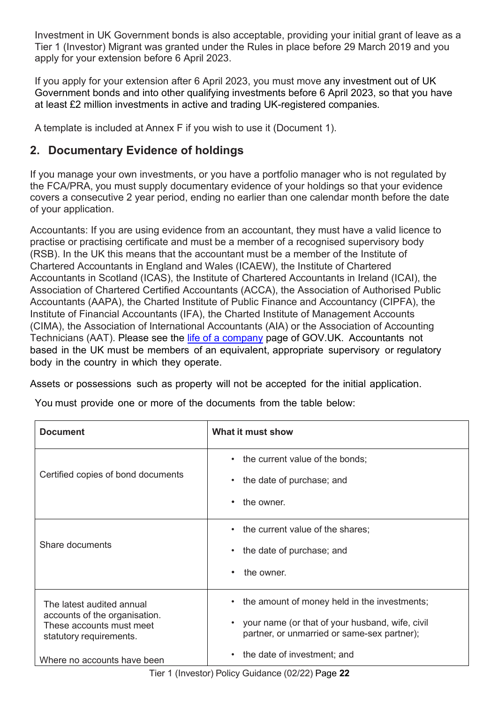Investment in UK Government bonds is also acceptable, providing your initial grant of leave as a Tier 1 (Investor) Migrant was granted under the Rules in place before 29 March 2019 and you apply for your extension before 6 April 2023.

If you apply for your extension after 6 April 2023, you must move any investment out of UK Government bonds and into other qualifying investments before 6 April 2023, so that you have at least £2 million investments in active and trading UK-registered companies.

A template is included at Annex F if you wish to use it (Document 1).

# <span id="page-25-0"></span>**2. Documentary Evidence of holdings**

If you manage your own investments, or you have a portfolio manager who is not regulated by the FCA/PRA, you must supply documentary evidence of your holdings so that your evidence covers a consecutive 2 year period, ending no earlier than one calendar month before the date of your application.

Accountants: If you are using evidence from an accountant, they must have a valid licence to practise or practising certificate and must be a member of a recognised supervisory body (RSB). In the UK this means that the accountant must be a member of the Institute of Chartered Accountants in England and Wales (ICAEW), the Institute of Chartered Accountants in Scotland (ICAS), the Institute of Chartered Accountants in Ireland (ICAI), the Association of Chartered Certified Accountants (ACCA), the Association of Authorised Public Accountants (AAPA), the Charted Institute of Public Finance and Accountancy (CIPFA), the Institute of Financial Accountants (IFA), the Charted Institute of Management Accounts (CIMA), the Association of International Accountants (AIA) or the Association of Accounting Technicians (AAT). Please see the [life of a company](https://www.gov.uk/government/publications/life-of-a-company-annual-requirements) page of GOV.UK. Accountants not based in the UK must be members of an equivalent, appropriate supervisory or regulatory body in the country in which they operate.

Assets or possessions such as property will not be accepted for the initial application.

You must provide one or more of the documents from the table below:

| <b>Document</b>                                                                      | What it must show                                                                                           |
|--------------------------------------------------------------------------------------|-------------------------------------------------------------------------------------------------------------|
| Certified copies of bond documents                                                   | • the current value of the bonds;<br>the date of purchase; and<br>$\bullet$                                 |
|                                                                                      | the owner.<br>$\bullet$                                                                                     |
| Share documents                                                                      | • the current value of the shares;                                                                          |
|                                                                                      | the date of purchase; and<br>$\bullet$                                                                      |
|                                                                                      | the owner.<br>٠                                                                                             |
| The latest audited annual                                                            | • the amount of money held in the investments;                                                              |
| accounts of the organisation.<br>These accounts must meet<br>statutory requirements. | your name (or that of your husband, wife, civil<br>$\bullet$<br>partner, or unmarried or same-sex partner); |
| Where no accounts have been                                                          | • the date of investment; and                                                                               |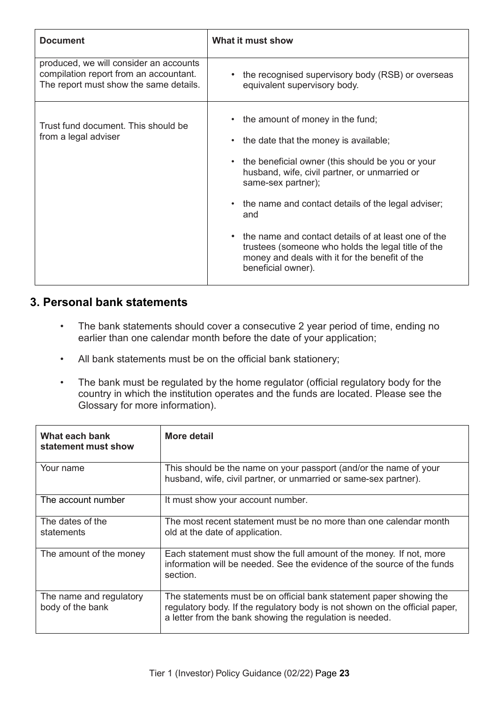| <b>Document</b>                                                                                                            | What it must show                                                                                                                                                                                                                                                                                                                                                                                                                                              |
|----------------------------------------------------------------------------------------------------------------------------|----------------------------------------------------------------------------------------------------------------------------------------------------------------------------------------------------------------------------------------------------------------------------------------------------------------------------------------------------------------------------------------------------------------------------------------------------------------|
| produced, we will consider an accounts<br>compilation report from an accountant.<br>The report must show the same details. | the recognised supervisory body (RSB) or overseas<br>equivalent supervisory body.                                                                                                                                                                                                                                                                                                                                                                              |
| Trust fund document. This should be<br>from a legal adviser                                                                | • the amount of money in the fund;<br>the date that the money is available;<br>• the beneficial owner (this should be you or your<br>husband, wife, civil partner, or unmarried or<br>same-sex partner);<br>• the name and contact details of the legal adviser;<br>and<br>• the name and contact details of at least one of the<br>trustees (someone who holds the legal title of the<br>money and deals with it for the benefit of the<br>beneficial owner). |

### <span id="page-26-0"></span>**3. Personal bank statements**

- The bank statements should cover a consecutive 2 year period of time, ending no earlier than one calendar month before the date of your application;
- All bank statements must be on the official bank stationery;
- The bank must be regulated by the home regulator (official regulatory body for the country in which the institution operates and the funds are located. Please see the Glossary for more information).

| What each bank<br>statement must show       | More detail                                                                                                                                                                                                    |
|---------------------------------------------|----------------------------------------------------------------------------------------------------------------------------------------------------------------------------------------------------------------|
| Your name                                   | This should be the name on your passport (and/or the name of your<br>husband, wife, civil partner, or unmarried or same-sex partner).                                                                          |
| The account number                          | It must show your account number.                                                                                                                                                                              |
| The dates of the<br>statements              | The most recent statement must be no more than one calendar month<br>old at the date of application.                                                                                                           |
| The amount of the money                     | Each statement must show the full amount of the money. If not, more<br>information will be needed. See the evidence of the source of the funds<br>section.                                                     |
| The name and regulatory<br>body of the bank | The statements must be on official bank statement paper showing the<br>regulatory body. If the regulatory body is not shown on the official paper,<br>a letter from the bank showing the regulation is needed. |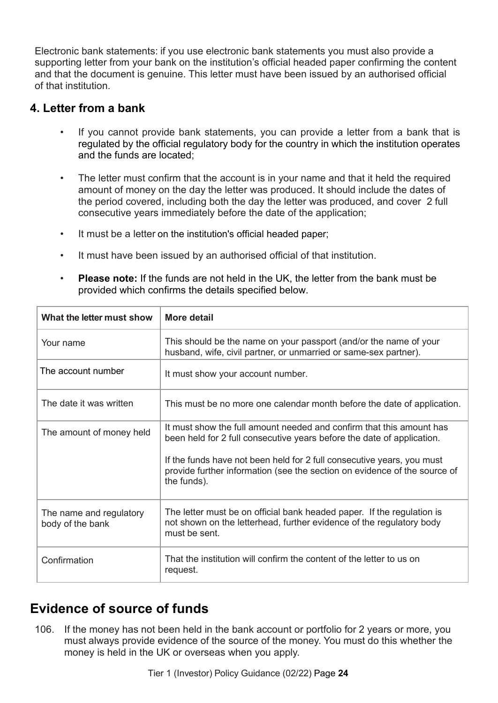Electronic bank statements: if you use electronic bank statements you must also provide a supporting letter from your bank on the institution's official headed paper confirming the content and that the document is genuine. This letter must have been issued by an authorised official of that institution.

### <span id="page-27-0"></span>**4. Letter from a bank**

- If you cannot provide bank statements, you can provide a letter from a bank that is regulated by the official regulatory body for the country in which the institution operates and the funds are located;
- The letter must confirm that the account is in your name and that it held the required amount of money on the day the letter was produced. It should include the dates of the period covered, including both the day the letter was produced, and cover 2 full consecutive years immediately before the date of the application;
- It must be a letter on the institution's official headed paper;
- It must have been issued by an authorised official of that institution.
- **Please note:** If the funds are not held in the UK, the letter from the bank must be provided which confirms the details specified below.

| What the letter must show                   | <b>More detail</b>                                                                                                                                                                                                       |
|---------------------------------------------|--------------------------------------------------------------------------------------------------------------------------------------------------------------------------------------------------------------------------|
| Your name                                   | This should be the name on your passport (and/or the name of your<br>husband, wife, civil partner, or unmarried or same-sex partner).                                                                                    |
| The account number                          | It must show your account number.                                                                                                                                                                                        |
| The date it was written                     | This must be no more one calendar month before the date of application.                                                                                                                                                  |
| The amount of money held                    | It must show the full amount needed and confirm that this amount has<br>been held for 2 full consecutive years before the date of application.<br>If the funds have not been held for 2 full consecutive years, you must |
|                                             | provide further information (see the section on evidence of the source of<br>the funds).                                                                                                                                 |
| The name and regulatory<br>body of the bank | The letter must be on official bank headed paper. If the regulation is<br>not shown on the letterhead, further evidence of the regulatory body<br>must be sent.                                                          |
| Confirmation                                | That the institution will confirm the content of the letter to us on<br>request.                                                                                                                                         |

# <span id="page-27-1"></span>**Evidence of source of funds**

106. If the money has not been held in the bank account or portfolio for 2 years or more, you must always provide evidence of the source of the money. You must do this whether the money is held in the UK or overseas when you apply.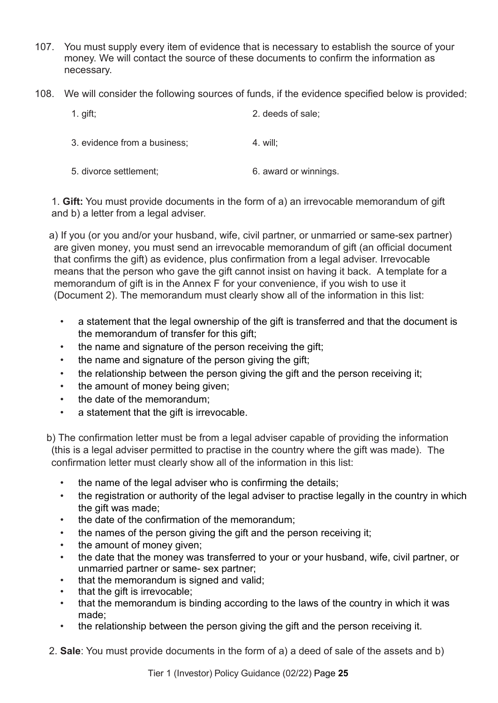- 107. You must supply every item of evidence that is necessary to establish the source of your money. We will contact the source of these documents to confirm the information as necessary.
- 108. We will consider the following sources of funds, if the evidence specified below is provided:

| 1. gift;                     | 2. deeds of sale;     |
|------------------------------|-----------------------|
| 3. evidence from a business; | $4.$ will:            |
| 5. divorce settlement;       | 6. award or winnings. |

1. **Gift:** You must provide documents in the form of a) an irrevocable memorandum of gift and b) a letter from a legal adviser.

a) If you (or you and/or your husband, wife, civil partner, or unmarried or same-sex partner) are given money, you must send an irrevocable memorandum of gift (an official document that confirms the gift) as evidence, plus confirmation from a legal adviser. Irrevocable means that the person who gave the gift cannot insist on having it back. A template for a memorandum of gift is in the Annex F for your convenience, if you wish to use it (Document 2). The memorandum must clearly show all of the information in this list:

- a statement that the legal ownership of the gift is transferred and that the document is the memorandum of transfer for this gift;
- the name and signature of the person receiving the gift;
- the name and signature of the person giving the gift;
- the relationship between the person giving the gift and the person receiving it;
- the amount of money being given;
- the date of the memorandum;
- a statement that the gift is irrevocable.

b) The confirmation letter must be from a legal adviser capable of providing the information (this is a legal adviser permitted to practise in the country where the gift was made). The confirmation letter must clearly show all of the information in this list:

- the name of the legal adviser who is confirming the details;
- the registration or authority of the legal adviser to practise legally in the country in which the gift was made:
- the date of the confirmation of the memorandum;
- the names of the person giving the gift and the person receiving it;
- the amount of money given;
- the date that the money was transferred to your or your husband, wife, civil partner, or unmarried partner or same- sex partner;
- that the memorandum is signed and valid;
- that the gift is irrevocable;
- that the memorandum is binding according to the laws of the country in which it was made;
- the relationship between the person giving the gift and the person receiving it.
- 2. **Sale**: You must provide documents in the form of a) a deed of sale of the assets and b)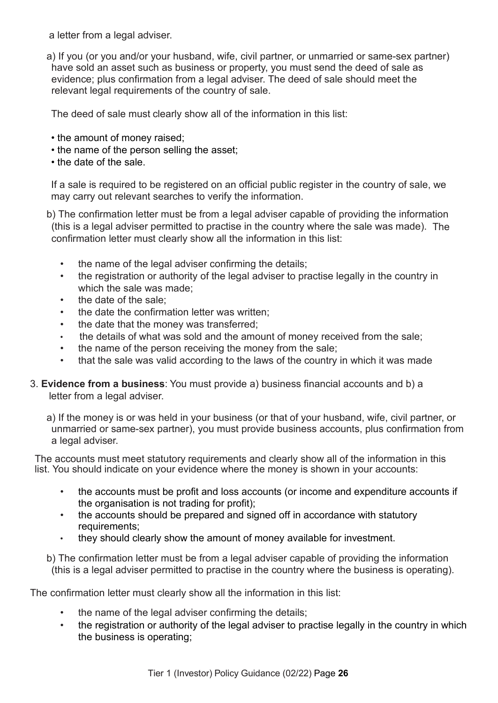a letter from a legal adviser.

a) If you (or you and/or your husband, wife, civil partner, or unmarried or same-sex partner) have sold an asset such as business or property, you must send the deed of sale as evidence; plus confirmation from a legal adviser. The deed of sale should meet the relevant legal requirements of the country of sale.

The deed of sale must clearly show all of the information in this list:

- the amount of money raised;
- the name of the person selling the asset;
- the date of the sale.

If a sale is required to be registered on an official public register in the country of sale, we may carry out relevant searches to verify the information.

b) The confirmation letter must be from a legal adviser capable of providing the information (this is a legal adviser permitted to practise in the country where the sale was made). The confirmation letter must clearly show all the information in this list:

- the name of the legal adviser confirming the details;
- the registration or authority of the legal adviser to practise legally in the country in which the sale was made;
- the date of the sale:
- the date the confirmation letter was written;
- the date that the money was transferred;
- the details of what was sold and the amount of money received from the sale;
- the name of the person receiving the money from the sale;
- that the sale was valid according to the laws of the country in which it was made
- 3. **Evidence from a business**: You must provide a) business financial accounts and b) a letter from a legal adviser.

a) If the money is or was held in your business (or that of your husband, wife, civil partner, or unmarried or same-sex partner), you must provide business accounts, plus confirmation from a legal adviser.

The accounts must meet statutory requirements and clearly show all of the information in this list. You should indicate on your evidence where the money is shown in your accounts:

- the accounts must be profit and loss accounts (or income and expenditure accounts if the organisation is not trading for profit);
- the accounts should be prepared and signed off in accordance with statutory requirements;
- they should clearly show the amount of money available for investment.

b) The confirmation letter must be from a legal adviser capable of providing the information (this is a legal adviser permitted to practise in the country where the business is operating).

The confirmation letter must clearly show all the information in this list:

- the name of the legal adviser confirming the details;
- the registration or authority of the legal adviser to practise legally in the country in which the business is operating;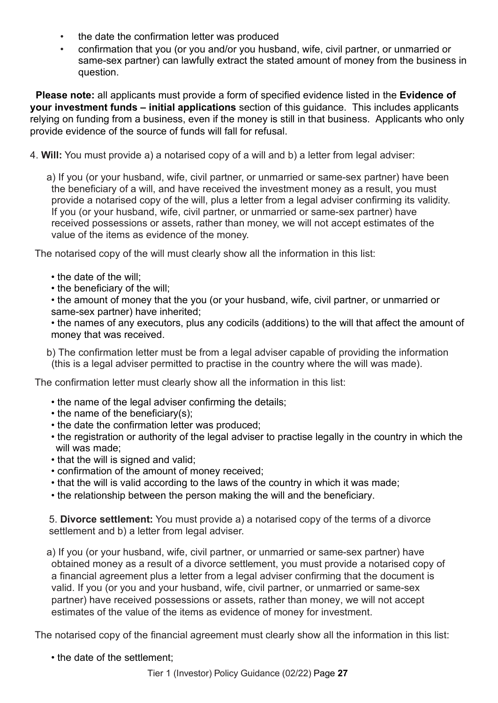- the date the confirmation letter was produced
- confirmation that you (or you and/or you husband, wife, civil partner, or unmarried or same-sex partner) can lawfully extract the stated amount of money from the business in question.

 **Please note:** all applicants must provide a form of specified evidence listed in the **Evidence of your investment funds – initial applications** section of this guidance. This includes applicants relying on funding from a business, even if the money is still in that business. Applicants who only provide evidence of the source of funds will fall for refusal.

4. **Will:** You must provide a) a notarised copy of a will and b) a letter from legal adviser:

a) If you (or your husband, wife, civil partner, or unmarried or same-sex partner) have been the beneficiary of a will, and have received the investment money as a result, you must provide a notarised copy of the will, plus a letter from a legal adviser confirming its validity. If you (or your husband, wife, civil partner, or unmarried or same-sex partner) have received possessions or assets, rather than money, we will not accept estimates of the value of the items as evidence of the money.

The notarised copy of the will must clearly show all the information in this list:

- the date of the will;
- the beneficiary of the will;

• the amount of money that the you (or your husband, wife, civil partner, or unmarried or same-sex partner) have inherited;

• the names of any executors, plus any codicils (additions) to the will that affect the amount of money that was received.

b) The confirmation letter must be from a legal adviser capable of providing the information (this is a legal adviser permitted to practise in the country where the will was made).

The confirmation letter must clearly show all the information in this list:

- the name of the legal adviser confirming the details;
- the name of the beneficiary(s);
- the date the confirmation letter was produced;
- the registration or authority of the legal adviser to practise legally in the country in which the will was made;
- that the will is signed and valid;
- confirmation of the amount of money received;
- that the will is valid according to the laws of the country in which it was made;
- the relationship between the person making the will and the beneficiary.

5. **Divorce settlement:** You must provide a) a notarised copy of the terms of a divorce settlement and b) a letter from legal adviser.

a) If you (or your husband, wife, civil partner, or unmarried or same-sex partner) have obtained money as a result of a divorce settlement, you must provide a notarised copy of a financial agreement plus a letter from a legal adviser confirming that the document is valid. If you (or you and your husband, wife, civil partner, or unmarried or same-sex partner) have received possessions or assets, rather than money, we will not accept estimates of the value of the items as evidence of money for investment.

The notarised copy of the financial agreement must clearly show all the information in this list:

• the date of the settlement;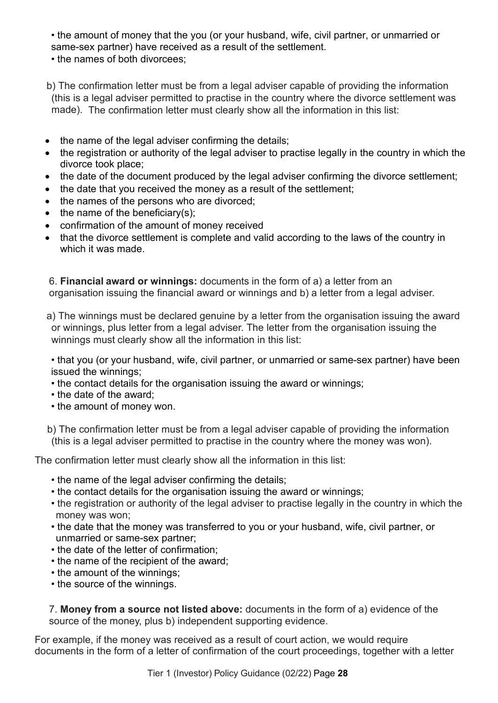• the amount of money that the you (or your husband, wife, civil partner, or unmarried or same-sex partner) have received as a result of the settlement.

• the names of both divorcees;

b) The confirmation letter must be from a legal adviser capable of providing the information (this is a legal adviser permitted to practise in the country where the divorce settlement was made). The confirmation letter must clearly show all the information in this list:

- the name of the legal adviser confirming the details;
- the registration or authority of the legal adviser to practise legally in the country in which the divorce took place;
- the date of the document produced by the legal adviser confirming the divorce settlement;
- the date that you received the money as a result of the settlement;
- the names of the persons who are divorced;
- $\bullet$  the name of the beneficiary(s);
- confirmation of the amount of money received
- that the divorce settlement is complete and valid according to the laws of the country in which it was made.

6. **Financial award or winnings:** documents in the form of a) a letter from an organisation issuing the financial award or winnings and b) a letter from a legal adviser.

a) The winnings must be declared genuine by a letter from the organisation issuing the award or winnings, plus letter from a legal adviser. The letter from the organisation issuing the winnings must clearly show all the information in this list:

• that you (or your husband, wife, civil partner, or unmarried or same-sex partner) have been issued the winnings;

- the contact details for the organisation issuing the award or winnings;
- the date of the award;
- the amount of money won.

b) The confirmation letter must be from a legal adviser capable of providing the information (this is a legal adviser permitted to practise in the country where the money was won).

The confirmation letter must clearly show all the information in this list:

- the name of the legal adviser confirming the details;
- the contact details for the organisation issuing the award or winnings;
- the registration or authority of the legal adviser to practise legally in the country in which the money was won;
- the date that the money was transferred to you or your husband, wife, civil partner, or unmarried or same-sex partner;
- the date of the letter of confirmation;
- the name of the recipient of the award;
- the amount of the winnings;
- the source of the winnings.

7. **Money from a source not listed above:** documents in the form of a) evidence of the source of the money, plus b) independent supporting evidence.

For example, if the money was received as a result of court action, we would require documents in the form of a letter of confirmation of the court proceedings, together with a letter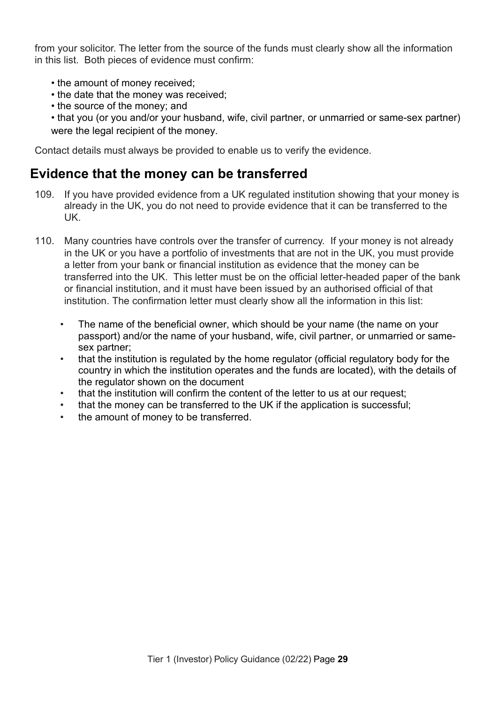from your solicitor. The letter from the source of the funds must clearly show all the information in this list. Both pieces of evidence must confirm:

- the amount of money received;
- the date that the money was received;
- the source of the money; and
- that you (or you and/or your husband, wife, civil partner, or unmarried or same-sex partner) were the legal recipient of the money.

Contact details must always be provided to enable us to verify the evidence.

# <span id="page-32-0"></span>**Evidence that the money can be transferred**

- 109. If you have provided evidence from a UK regulated institution showing that your money is already in the UK, you do not need to provide evidence that it can be transferred to the UK.
- 110. Many countries have controls over the transfer of currency. If your money is not already in the UK or you have a portfolio of investments that are not in the UK, you must provide a letter from your bank or financial institution as evidence that the money can be transferred into the UK. This letter must be on the official letter-headed paper of the bank or financial institution, and it must have been issued by an authorised official of that institution. The confirmation letter must clearly show all the information in this list:
	- The name of the beneficial owner, which should be your name (the name on your passport) and/or the name of your husband, wife, civil partner, or unmarried or samesex partner;
	- that the institution is regulated by the home regulator (official regulatory body for the country in which the institution operates and the funds are located), with the details of the regulator shown on the document
	- that the institution will confirm the content of the letter to us at our request;
	- that the money can be transferred to the UK if the application is successful;
	- the amount of money to be transferred.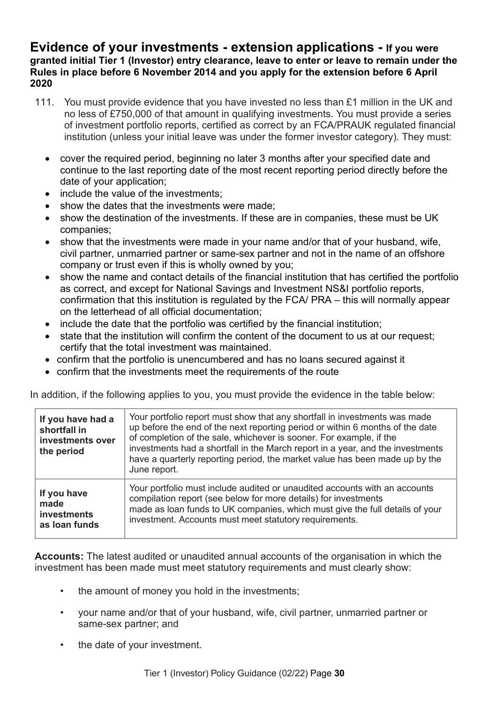### <span id="page-33-0"></span>**Evidence of your investments - extension applications - If you were granted initial Tier 1 (Investor) entry clearance, leave to enter or leave to remain under the Rules in place before 6 November 2014 and you apply for the extension before 6 April 2020**

- 111. You must provide evidence that you have invested no less than £1 million in the UK and no less of £750,000 of that amount in qualifying investments. You must provide a series of investment portfolio reports, certified as correct by an FCA/PRAUK regulated financial institution (unless your initial leave was under the former investor category). They must:
	- cover the required period, beginning no later 3 months after your specified date and continue to the last reporting date of the most recent reporting period directly before the date of your application;
	- include the value of the investments;
	- show the dates that the investments were made;
	- show the destination of the investments. If these are in companies, these must be UK companies;
	- show that the investments were made in your name and/or that of your husband, wife, civil partner, unmarried partner or same-sex partner and not in the name of an offshore company or trust even if this is wholly owned by you;
	- show the name and contact details of the financial institution that has certified the portfolio as correct, and except for National Savings and Investment NS&I portfolio reports, confirmation that this institution is regulated by the FCA/ PRA – this will normally appear on the letterhead of all official documentation;
	- include the date that the portfolio was certified by the financial institution;
	- state that the institution will confirm the content of the document to us at our request; certify that the total investment was maintained.
	- confirm that the portfolio is unencumbered and has no loans secured against it
	- confirm that the investments meet the requirements of the route

In addition, if the following applies to you, you must provide the evidence in the table below:

| If you have had a<br>shortfall in<br>investments over<br>the period | Your portfolio report must show that any shortfall in investments was made<br>up before the end of the next reporting period or within 6 months of the date<br>of completion of the sale, whichever is sooner. For example, if the<br>investments had a shortfall in the March report in a year, and the investments<br>have a quarterly reporting period, the market value has been made up by the<br>June report. |
|---------------------------------------------------------------------|---------------------------------------------------------------------------------------------------------------------------------------------------------------------------------------------------------------------------------------------------------------------------------------------------------------------------------------------------------------------------------------------------------------------|
| If you have                                                         | Your portfolio must include audited or unaudited accounts with an accounts                                                                                                                                                                                                                                                                                                                                          |
| made                                                                | compilation report (see below for more details) for investments                                                                                                                                                                                                                                                                                                                                                     |
| investments                                                         | made as loan funds to UK companies, which must give the full details of your                                                                                                                                                                                                                                                                                                                                        |
| as loan funds                                                       | investment. Accounts must meet statutory requirements.                                                                                                                                                                                                                                                                                                                                                              |

**Accounts:** The latest audited or unaudited annual accounts of the organisation in which the investment has been made must meet statutory requirements and must clearly show:

- the amount of money you hold in the investments;
- your name and/or that of your husband, wife, civil partner, unmarried partner or same-sex partner; and
- the date of your investment.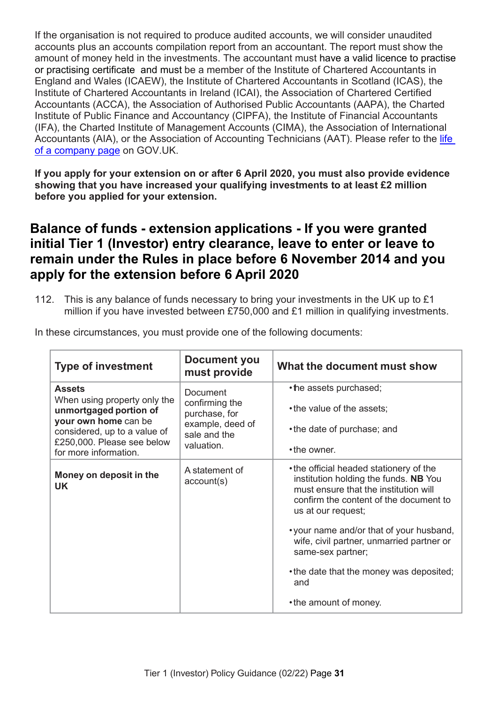If the organisation is not required to produce audited accounts, we will consider unaudited accounts plus an accounts compilation report from an accountant. The report must show the amount of money held in the investments. The accountant must have a valid licence to practise or practising certificate and must be a member of the Institute of Chartered Accountants in England and Wales (ICAEW), the Institute of Chartered Accountants in Scotland (ICAS), the Institute of Chartered Accountants in Ireland (ICAI), the Association of Chartered Certified Accountants (ACCA), the Association of Authorised Public Accountants (AAPA), the Charted Institute of Public Finance and Accountancy (CIPFA), the Institute of Financial Accountants (IFA), the Charted Institute of Management Accounts (CIMA), the Association of International Accountants (AIA), or the Association of Accounting Technicians (AAT). Please refer to the life [of a company page](https://www.gov.uk/government/publications/life-of-a-company-annual-requirements) on GOV.UK.

**If you apply for your extension on or after 6 April 2020, you must also provide evidence showing that you have increased your qualifying investments to at least £2 million before you applied for your extension.**

# <span id="page-34-0"></span>**Balance of funds - extension applications - If you were granted initial Tier 1 (Investor) entry clearance, leave to enter or leave to remain under the Rules in place before 6 November 2014 and you apply for the extension before 6 April 2020**

112. This is any balance of funds necessary to bring your investments in the UK up to £1 million if you have invested between £750,000 and £1 million in qualifying investments.

| <b>Type of investment</b>                                                                                         | Document you<br>must provide                                    | What the document must show                                                                                                                                                               |
|-------------------------------------------------------------------------------------------------------------------|-----------------------------------------------------------------|-------------------------------------------------------------------------------------------------------------------------------------------------------------------------------------------|
| <b>Assets</b><br>When using property only the<br>unmortgaged portion of<br>your own home can be                   | Document<br>confirming the<br>purchase, for<br>example, deed of | • the assets purchased;<br>• the value of the assets;                                                                                                                                     |
| considered, up to a value of<br>sale and the<br>£250,000. Please see below<br>valuation.<br>for more information. |                                                                 | • the date of purchase; and<br>• the owner.                                                                                                                                               |
| Money on deposit in the<br><b>UK</b>                                                                              | A statement of<br>account(s)                                    | • the official headed stationery of the<br>institution holding the funds. NB You<br>must ensure that the institution will<br>confirm the content of the document to<br>us at our request; |
|                                                                                                                   |                                                                 | • your name and/or that of your husband,<br>wife, civil partner, unmarried partner or<br>same-sex partner;                                                                                |
|                                                                                                                   |                                                                 | • the date that the money was deposited;<br>and                                                                                                                                           |
|                                                                                                                   |                                                                 | • the amount of money.                                                                                                                                                                    |

In these circumstances, you must provide one of the following documents: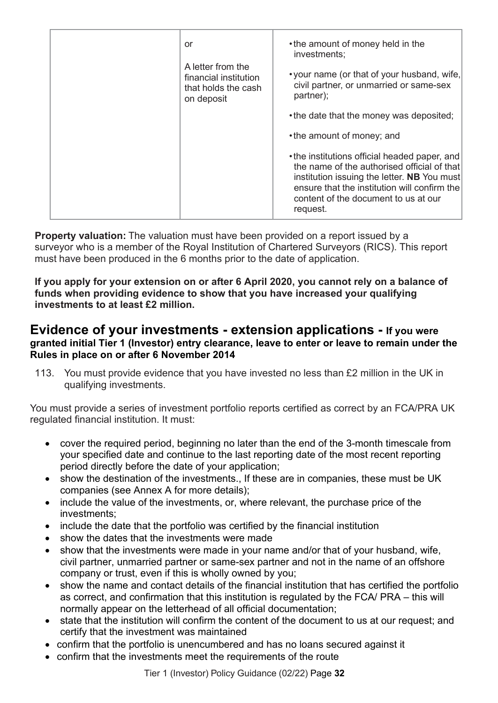| or                                                                              | • the amount of money held in the<br>investments;                                                                                                                                                                                               |
|---------------------------------------------------------------------------------|-------------------------------------------------------------------------------------------------------------------------------------------------------------------------------------------------------------------------------------------------|
| A letter from the<br>financial institution<br>that holds the cash<br>on deposit | • your name (or that of your husband, wife,<br>civil partner, or unmarried or same-sex<br>partner);                                                                                                                                             |
|                                                                                 | • the date that the money was deposited;                                                                                                                                                                                                        |
|                                                                                 | • the amount of money; and                                                                                                                                                                                                                      |
|                                                                                 | • the institutions official headed paper, and<br>the name of the authorised official of that<br>institution issuing the letter. NB You must<br>ensure that the institution will confirm the<br>content of the document to us at our<br>request. |
|                                                                                 |                                                                                                                                                                                                                                                 |

**Property valuation:** The valuation must have been provided on a report issued by a surveyor who is a member of the Royal Institution of Chartered Surveyors (RICS). This report must have been produced in the 6 months prior to the date of application.

**If you apply for your extension on or after 6 April 2020, you cannot rely on a balance of funds when providing evidence to show that you have increased your qualifying investments to at least £2 million.**

### <span id="page-35-0"></span>**Evidence of your investments - extension applications - If you were granted initial Tier 1 (Investor) entry clearance, leave to enter or leave to remain under the Rules in place on or after 6 November 2014**

113. You must provide evidence that you have invested no less than £2 million in the UK in qualifying investments.

You must provide a series of investment portfolio reports certified as correct by an FCA/PRA UK regulated financial institution. It must:

- cover the required period, beginning no later than the end of the 3-month timescale from your specified date and continue to the last reporting date of the most recent reporting period directly before the date of your application;
- show the destination of the investments., If these are in companies, these must be UK companies (see Annex A for more details);
- include the value of the investments, or, where relevant, the purchase price of the investments;
- include the date that the portfolio was certified by the financial institution
- show the dates that the investments were made
- show that the investments were made in your name and/or that of your husband, wife, civil partner, unmarried partner or same-sex partner and not in the name of an offshore company or trust, even if this is wholly owned by you;
- show the name and contact details of the financial institution that has certified the portfolio as correct, and confirmation that this institution is regulated by the FCA/ PRA – this will normally appear on the letterhead of all official documentation;
- state that the institution will confirm the content of the document to us at our request; and certify that the investment was maintained
- confirm that the portfolio is unencumbered and has no loans secured against it
- confirm that the investments meet the requirements of the route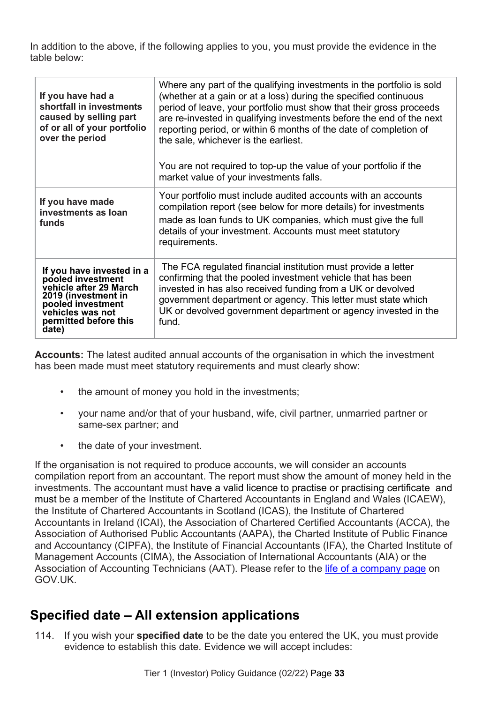In addition to the above, if the following applies to you, you must provide the evidence in the table below:

| If you have had a<br>shortfall in investments<br>caused by selling part<br>of or all of your portfolio<br>over the period                                                  | Where any part of the qualifying investments in the portfolio is sold<br>(whether at a gain or at a loss) during the specified continuous<br>period of leave, your portfolio must show that their gross proceeds<br>are re-invested in qualifying investments before the end of the next<br>reporting period, or within 6 months of the date of completion of<br>the sale, whichever is the earliest.<br>You are not required to top-up the value of your portfolio if the<br>market value of your investments falls. |
|----------------------------------------------------------------------------------------------------------------------------------------------------------------------------|-----------------------------------------------------------------------------------------------------------------------------------------------------------------------------------------------------------------------------------------------------------------------------------------------------------------------------------------------------------------------------------------------------------------------------------------------------------------------------------------------------------------------|
| If you have made<br>investments as loan<br>funds                                                                                                                           | Your portfolio must include audited accounts with an accounts<br>compilation report (see below for more details) for investments<br>made as loan funds to UK companies, which must give the full<br>details of your investment. Accounts must meet statutory<br>requirements.                                                                                                                                                                                                                                         |
| If you have invested in a<br>pooled investment<br>vehicle after 29 March<br>2019 (investment in<br>pooled investment<br>vehicles was not<br>permitted before this<br>date) | The FCA regulated financial institution must provide a letter<br>confirming that the pooled investment vehicle that has been<br>invested in has also received funding from a UK or devolved<br>government department or agency. This letter must state which<br>UK or devolved government department or agency invested in the<br>fund.                                                                                                                                                                               |

**Accounts:** The latest audited annual accounts of the organisation in which the investment has been made must meet statutory requirements and must clearly show:

- the amount of money you hold in the investments;
- your name and/or that of your husband, wife, civil partner, unmarried partner or same-sex partner; and
- the date of your investment.

If the organisation is not required to produce accounts, we will consider an accounts compilation report from an accountant. The report must show the amount of money held in the investments. The accountant must have a valid licence to practise or practising certificate and must be a member of the Institute of Chartered Accountants in England and Wales (ICAEW), the Institute of Chartered Accountants in Scotland (ICAS), the Institute of Chartered Accountants in Ireland (ICAI), the Association of Chartered Certified Accountants (ACCA), the Association of Authorised Public Accountants (AAPA), the Charted Institute of Public Finance and Accountancy (CIPFA), the Institute of Financial Accountants (IFA), the Charted Institute of Management Accounts (CIMA), the Association of International Accountants (AIA) or the Association of Accounting Technicians (AAT). Please refer to the [life of a company page](https://www.gov.uk/government/publications/life-of-a-company-annual-requirements) on GOV.UK.

# <span id="page-36-0"></span>**Specified date – All extension applications**

114. If you wish your **specified date** to be the date you entered the UK, you must provide evidence to establish this date. Evidence we will accept includes: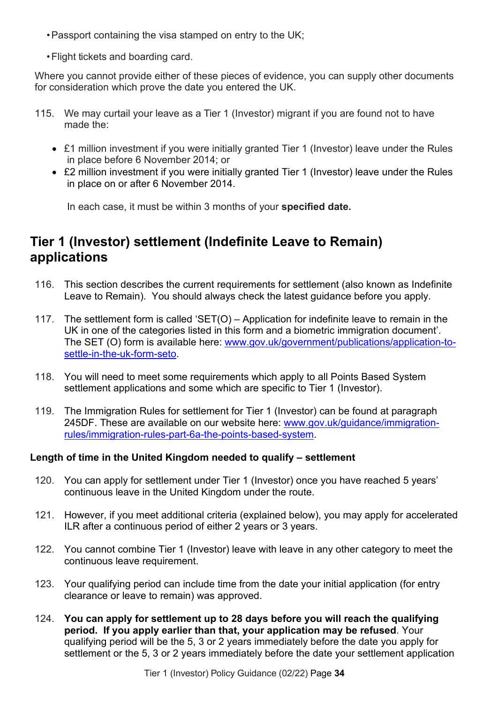- •Passport containing the visa stamped on entry to the UK;
- •Flight tickets and boarding card.

Where you cannot provide either of these pieces of evidence, you can supply other documents for consideration which prove the date you entered the UK.

- 115. We may curtail your leave as a Tier 1 (Investor) migrant if you are found not to have made the:
	- £1 million investment if you were initially granted Tier 1 (Investor) leave under the Rules in place before 6 November 2014; or
	- £2 million investment if you were initially granted Tier 1 (Investor) leave under the Rules in place on or after 6 November 2014.

In each case, it must be within 3 months of your **specified date.**

# <span id="page-37-0"></span>**Tier 1 (Investor) settlement (Indefinite Leave to Remain) applications**

- 116. This section describes the current requirements for settlement (also known as Indefinite Leave to Remain). You should always check the latest guidance before you apply.
- 117. The settlement form is called 'SET(O) Application for indefinite leave to remain in the UK in one of the categories listed in this form and a biometric immigration document'. The SET (O) form is available here: [www.gov.uk/government/publications/application-to](http://www.gov.uk/government/publications/application-to-settle-in-the-uk-form-seto)[settle-in-the-uk-form-seto.](http://www.gov.uk/government/publications/application-to-settle-in-the-uk-form-seto)
- 118. You will need to meet some requirements which apply to all Points Based System settlement applications and some which are specific to Tier 1 (Investor).
- 119. The Immigration Rules for settlement for Tier 1 (Investor) can be found at paragraph 245DF. These are available on our website here: [www.gov.uk/guidance/immigration](http://www.gov.uk/guidance/immigration-rules/immigration-rules-part-6a-the-points-based-system)[rules/immigration-rules-part-6a-the-points-based-system.](http://www.gov.uk/guidance/immigration-rules/immigration-rules-part-6a-the-points-based-system)

#### **Length of time in the United Kingdom needed to qualify – settlement**

- 120. You can apply for settlement under Tier 1 (Investor) once you have reached 5 years' continuous leave in the United Kingdom under the route.
- 121. However, if you meet additional criteria (explained below), you may apply for accelerated ILR after a continuous period of either 2 years or 3 years.
- 122. You cannot combine Tier 1 (Investor) leave with leave in any other category to meet the continuous leave requirement.
- 123. Your qualifying period can include time from the date your initial application (for entry clearance or leave to remain) was approved.
- 124. **You can apply for settlement up to 28 days before you will reach the qualifying period. If you apply earlier than that, your application may be refused**. Your qualifying period will be the 5, 3 or 2 years immediately before the date you apply for settlement or the 5, 3 or 2 years immediately before the date your settlement application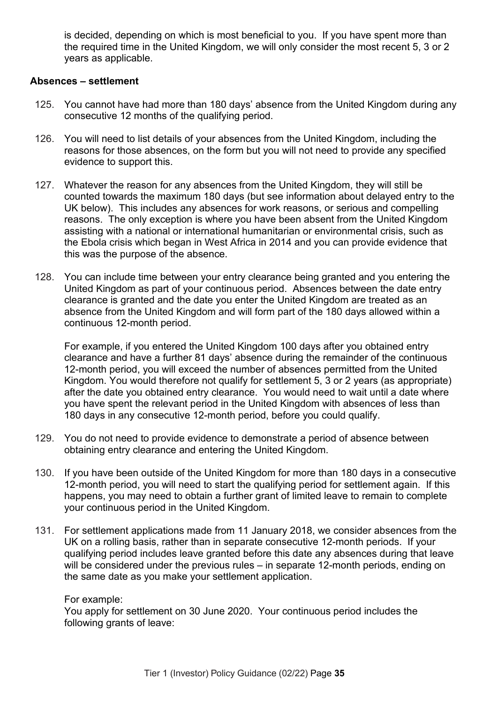is decided, depending on which is most beneficial to you. If you have spent more than the required time in the United Kingdom, we will only consider the most recent 5, 3 or 2 years as applicable.

#### **Absences – settlement**

- 125. You cannot have had more than 180 days' absence from the United Kingdom during any consecutive 12 months of the qualifying period.
- 126. You will need to list details of your absences from the United Kingdom, including the reasons for those absences, on the form but you will not need to provide any specified evidence to support this.
- 127. Whatever the reason for any absences from the United Kingdom, they will still be counted towards the maximum 180 days (but see information about delayed entry to the UK below). This includes any absences for work reasons, or serious and compelling reasons. The only exception is where you have been absent from the United Kingdom assisting with a national or international humanitarian or environmental crisis, such as the Ebola crisis which began in West Africa in 2014 and you can provide evidence that this was the purpose of the absence.
- 128. You can include time between your entry clearance being granted and you entering the United Kingdom as part of your continuous period. Absences between the date entry clearance is granted and the date you enter the United Kingdom are treated as an absence from the United Kingdom and will form part of the 180 days allowed within a continuous 12-month period.

For example, if you entered the United Kingdom 100 days after you obtained entry clearance and have a further 81 days' absence during the remainder of the continuous 12-month period, you will exceed the number of absences permitted from the United Kingdom. You would therefore not qualify for settlement 5, 3 or 2 years (as appropriate) after the date you obtained entry clearance. You would need to wait until a date where you have spent the relevant period in the United Kingdom with absences of less than 180 days in any consecutive 12-month period, before you could qualify.

- 129. You do not need to provide evidence to demonstrate a period of absence between obtaining entry clearance and entering the United Kingdom.
- 130. If you have been outside of the United Kingdom for more than 180 days in a consecutive 12-month period, you will need to start the qualifying period for settlement again. If this happens, you may need to obtain a further grant of limited leave to remain to complete your continuous period in the United Kingdom.
- 131. For settlement applications made from 11 January 2018, we consider absences from the UK on a rolling basis, rather than in separate consecutive 12-month periods. If your qualifying period includes leave granted before this date any absences during that leave will be considered under the previous rules – in separate 12-month periods, ending on the same date as you make your settlement application.

#### For example:

You apply for settlement on 30 June 2020. Your continuous period includes the following grants of leave: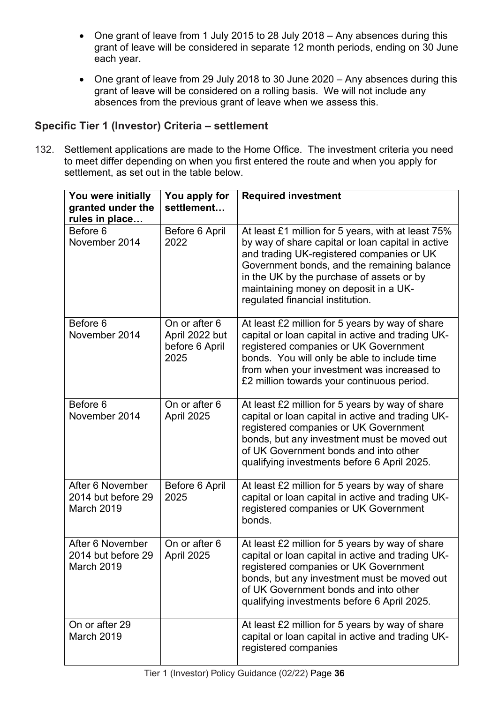- One grant of leave from 1 July 2015 to 28 July 2018 Any absences during this grant of leave will be considered in separate 12 month periods, ending on 30 June each year.
- One grant of leave from 29 July 2018 to 30 June 2020 Any absences during this grant of leave will be considered on a rolling basis. We will not include any absences from the previous grant of leave when we assess this.

### **Specific Tier 1 (Investor) Criteria – settlement**

132. Settlement applications are made to the Home Office. The investment criteria you need to meet differ depending on when you first entered the route and when you apply for settlement, as set out in the table below.

| You were initially<br>granted under the<br>rules in place | You apply for<br>settlement                               | <b>Required investment</b>                                                                                                                                                                                                                                                                                                    |
|-----------------------------------------------------------|-----------------------------------------------------------|-------------------------------------------------------------------------------------------------------------------------------------------------------------------------------------------------------------------------------------------------------------------------------------------------------------------------------|
| Before 6<br>November 2014                                 | Before 6 April<br>2022                                    | At least £1 million for 5 years, with at least 75%<br>by way of share capital or loan capital in active<br>and trading UK-registered companies or UK<br>Government bonds, and the remaining balance<br>in the UK by the purchase of assets or by<br>maintaining money on deposit in a UK-<br>regulated financial institution. |
| Before 6<br>November 2014                                 | On or after 6<br>April 2022 but<br>before 6 April<br>2025 | At least £2 million for 5 years by way of share<br>capital or loan capital in active and trading UK-<br>registered companies or UK Government<br>bonds. You will only be able to include time<br>from when your investment was increased to<br>£2 million towards your continuous period.                                     |
| Before 6<br>November 2014                                 | On or after 6<br>April 2025                               | At least £2 million for 5 years by way of share<br>capital or loan capital in active and trading UK-<br>registered companies or UK Government<br>bonds, but any investment must be moved out<br>of UK Government bonds and into other<br>qualifying investments before 6 April 2025.                                          |
| After 6 November<br>2014 but before 29<br>March 2019      | Before 6 April<br>2025                                    | At least £2 million for 5 years by way of share<br>capital or loan capital in active and trading UK-<br>registered companies or UK Government<br>bonds.                                                                                                                                                                       |
| After 6 November<br>2014 but before 29<br>March 2019      | On or after 6<br>April 2025                               | At least £2 million for 5 years by way of share<br>capital or loan capital in active and trading UK-<br>registered companies or UK Government<br>bonds, but any investment must be moved out<br>of UK Government bonds and into other<br>qualifying investments before 6 April 2025.                                          |
| On or after 29<br>March 2019                              |                                                           | At least £2 million for 5 years by way of share<br>capital or loan capital in active and trading UK-<br>registered companies                                                                                                                                                                                                  |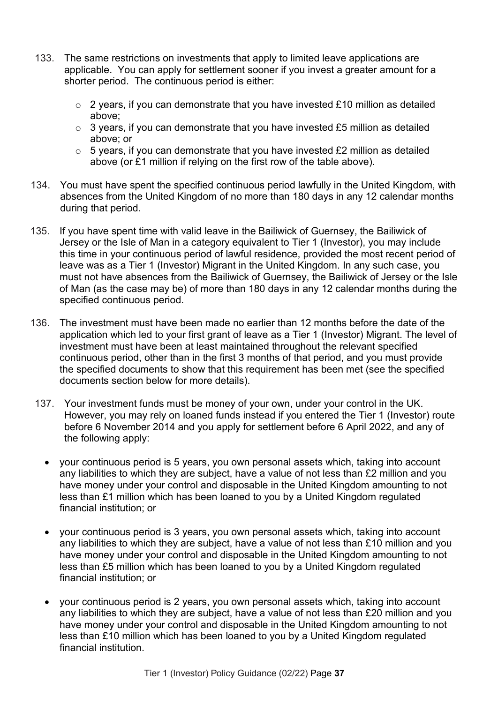- 133. The same restrictions on investments that apply to limited leave applications are applicable. You can apply for settlement sooner if you invest a greater amount for a shorter period. The continuous period is either:
	- $\circ$  2 years, if you can demonstrate that you have invested £10 million as detailed above;
	- $\circ$  3 years, if you can demonstrate that you have invested £5 million as detailed above; or
	- $\circ$  5 years, if you can demonstrate that you have invested £2 million as detailed above (or £1 million if relying on the first row of the table above).
- 134. You must have spent the specified continuous period lawfully in the United Kingdom, with absences from the United Kingdom of no more than 180 days in any 12 calendar months during that period.
- 135. If you have spent time with valid leave in the Bailiwick of Guernsey, the Bailiwick of Jersey or the Isle of Man in a category equivalent to Tier 1 (Investor), you may include this time in your continuous period of lawful residence, provided the most recent period of leave was as a Tier 1 (Investor) Migrant in the United Kingdom. In any such case, you must not have absences from the Bailiwick of Guernsey, the Bailiwick of Jersey or the Isle of Man (as the case may be) of more than 180 days in any 12 calendar months during the specified continuous period.
- 136. The investment must have been made no earlier than 12 months before the date of the application which led to your first grant of leave as a Tier 1 (Investor) Migrant. The level of investment must have been at least maintained throughout the relevant specified continuous period, other than in the first 3 months of that period, and you must provide the specified documents to show that this requirement has been met (see the specified documents section below for more details).
- 137. Your investment funds must be money of your own, under your control in the UK. However, you may rely on loaned funds instead if you entered the Tier 1 (Investor) route before 6 November 2014 and you apply for settlement before 6 April 2022, and any of the following apply:
	- your continuous period is 5 years, you own personal assets which, taking into account any liabilities to which they are subject, have a value of not less than £2 million and you have money under your control and disposable in the United Kingdom amounting to not less than £1 million which has been loaned to you by a United Kingdom regulated financial institution; or
	- your continuous period is 3 years, you own personal assets which, taking into account any liabilities to which they are subject, have a value of not less than £10 million and you have money under your control and disposable in the United Kingdom amounting to not less than £5 million which has been loaned to you by a United Kingdom regulated financial institution; or
	- your continuous period is 2 years, you own personal assets which, taking into account any liabilities to which they are subject, have a value of not less than £20 million and you have money under your control and disposable in the United Kingdom amounting to not less than £10 million which has been loaned to you by a United Kingdom regulated financial institution.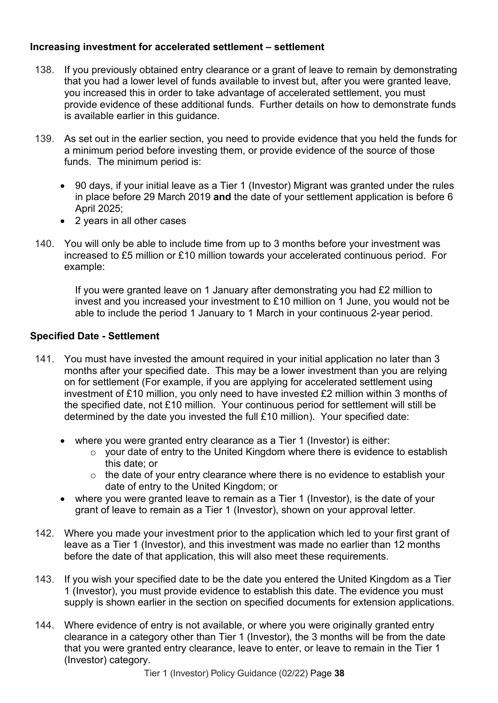#### **Increasing investment for accelerated settlement – settlement**

- 138. If you previously obtained entry clearance or a grant of leave to remain by demonstrating that you had a lower level of funds available to invest but, after you were granted leave, you increased this in order to take advantage of accelerated settlement, you must provide evidence of these additional funds. Further details on how to demonstrate funds is available earlier in this guidance.
- 139. As set out in the earlier section, you need to provide evidence that you held the funds for a minimum period before investing them, or provide evidence of the source of those funds. The minimum period is:
	- 90 days, if your initial leave as a Tier 1 (Investor) Migrant was granted under the rules in place before 29 March 2019 **and** the date of your settlement application is before 6 April 2025;
	- 2 years in all other cases
- 140. You will only be able to include time from up to 3 months before your investment was increased to £5 million or £10 million towards your accelerated continuous period. For example:

If you were granted leave on 1 January after demonstrating you had £2 million to invest and you increased your investment to £10 million on 1 June, you would not be able to include the period 1 January to 1 March in your continuous 2-year period.

### **Specified Date - Settlement**

- 141. You must have invested the amount required in your initial application no later than 3 months after your specified date. This may be a lower investment than you are relying on for settlement (For example, if you are applying for accelerated settlement using investment of £10 million, you only need to have invested £2 million within 3 months of the specified date, not £10 million. Your continuous period for settlement will still be determined by the date you invested the full £10 million). Your specified date:
	- where you were granted entry clearance as a Tier 1 (Investor) is either:
		- o your date of entry to the United Kingdom where there is evidence to establish this date; or
		- $\circ$  the date of your entry clearance where there is no evidence to establish your date of entry to the United Kingdom; or
	- where you were granted leave to remain as a Tier 1 (Investor), is the date of your grant of leave to remain as a Tier 1 (Investor), shown on your approval letter.
- 142. Where you made your investment prior to the application which led to your first grant of leave as a Tier 1 (Investor), and this investment was made no earlier than 12 months before the date of that application, this will also meet these requirements.
- 143. If you wish your specified date to be the date you entered the United Kingdom as a Tier 1 (Investor), you must provide evidence to establish this date. The evidence you must supply is shown earlier in the section on specified documents for extension applications.
- 144. Where evidence of entry is not available, or where you were originally granted entry clearance in a category other than Tier 1 (Investor), the 3 months will be from the date that you were granted entry clearance, leave to enter, or leave to remain in the Tier 1 (Investor) category.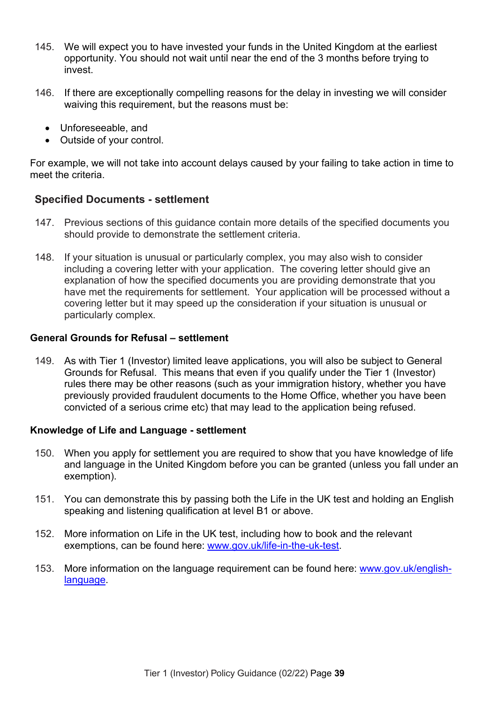- 145. We will expect you to have invested your funds in the United Kingdom at the earliest opportunity. You should not wait until near the end of the 3 months before trying to invest.
- 146. If there are exceptionally compelling reasons for the delay in investing we will consider waiving this requirement, but the reasons must be:
	- Unforeseeable, and
	- Outside of your control.

For example, we will not take into account delays caused by your failing to take action in time to meet the criteria.

#### **Specified Documents - settlement**

- 147. Previous sections of this guidance contain more details of the specified documents you should provide to demonstrate the settlement criteria.
- 148. If your situation is unusual or particularly complex, you may also wish to consider including a covering letter with your application. The covering letter should give an explanation of how the specified documents you are providing demonstrate that you have met the requirements for settlement. Your application will be processed without a covering letter but it may speed up the consideration if your situation is unusual or particularly complex.

#### **General Grounds for Refusal – settlement**

149. As with Tier 1 (Investor) limited leave applications, you will also be subject to General Grounds for Refusal. This means that even if you qualify under the Tier 1 (Investor) rules there may be other reasons (such as your immigration history, whether you have previously provided fraudulent documents to the Home Office, whether you have been convicted of a serious crime etc) that may lead to the application being refused.

#### **Knowledge of Life and Language - settlement**

- 150. When you apply for settlement you are required to show that you have knowledge of life and language in the United Kingdom before you can be granted (unless you fall under an exemption).
- 151. You can demonstrate this by passing both the Life in the UK test and holding an English speaking and listening qualification at level B1 or above.
- 152. More information on Life in the UK test, including how to book and the relevant exemptions, can be found here: [www.gov.uk/life-in-the-uk-test.](http://www.gov.uk/life-in-the-uk-test)
- 153. More information on the language requirement can be found here: [www.gov.uk/english](http://www.gov.uk/english-language)[language.](http://www.gov.uk/english-language)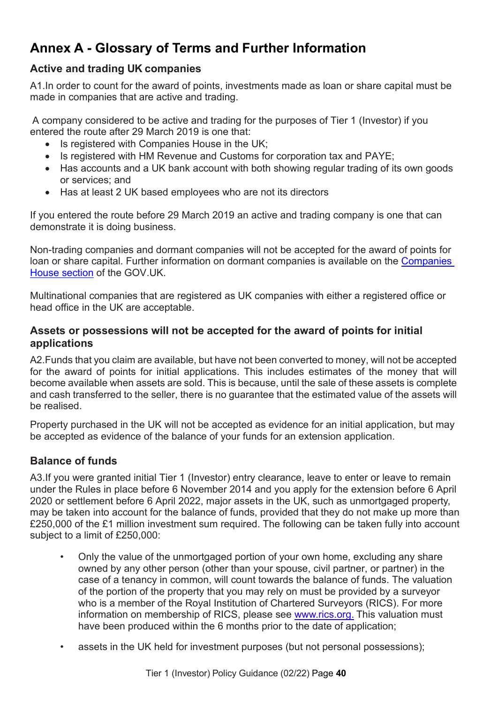# <span id="page-43-0"></span>**Annex A - Glossary of Terms and Further Information**

### **Active and trading UK companies**

A1.In order to count for the award of points, investments made as loan or share capital must be made in companies that are active and trading.

A company considered to be active and trading for the purposes of Tier 1 (Investor) if you entered the route after 29 March 2019 is one that:

- Is registered with Companies House in the UK;
- Is registered with HM Revenue and Customs for corporation tax and PAYE;
- Has accounts and a UK bank account with both showing regular trading of its own goods or services; and
- Has at least 2 UK based employees who are not its directors

If you entered the route before 29 March 2019 an active and trading company is one that can demonstrate it is doing business.

Non-trading companies and dormant companies will not be accepted for the award of points for loan or share capital. Further information on dormant companies is available on the [Companies](https://www.gov.uk/government/organisations/companies-house)  [House section](https://www.gov.uk/government/organisations/companies-house) of the GOV.UK.

Multinational companies that are registered as UK companies with either a registered office or head office in the UK are acceptable.

#### **Assets or possessions will not be accepted for the award of points for initial applications**

A2.Funds that you claim are available, but have not been converted to money, will not be accepted for the award of points for initial applications. This includes estimates of the money that will become available when assets are sold. This is because, until the sale of these assets is complete and cash transferred to the seller, there is no guarantee that the estimated value of the assets will be realised.

Property purchased in the UK will not be accepted as evidence for an initial application, but may be accepted as evidence of the balance of your funds for an extension application.

### **Balance of funds**

A3.If you were granted initial Tier 1 (Investor) entry clearance, leave to enter or leave to remain under the Rules in place before 6 November 2014 and you apply for the extension before 6 April 2020 or settlement before 6 April 2022, major assets in the UK, such as unmortgaged property, may be taken into account for the balance of funds, provided that they do not make up more than £250,000 of the £1 million investment sum required. The following can be taken fully into account subject to a limit of £250,000:

- Only the value of the unmortgaged portion of your own home, excluding any share owned by any other person (other than your spouse, civil partner, or partner) in the case of a tenancy in common, will count towards the balance of funds. The valuation of the portion of the property that you may rely on must be provided by a surveyor who is a member of the Royal Institution of Chartered Surveyors (RICS). For more information on membership of RICS, please see [www.rics.org.](http://www.rics.org/) This valuation must have been produced within the 6 months prior to the date of application;
- assets in the UK held for investment purposes (but not personal possessions);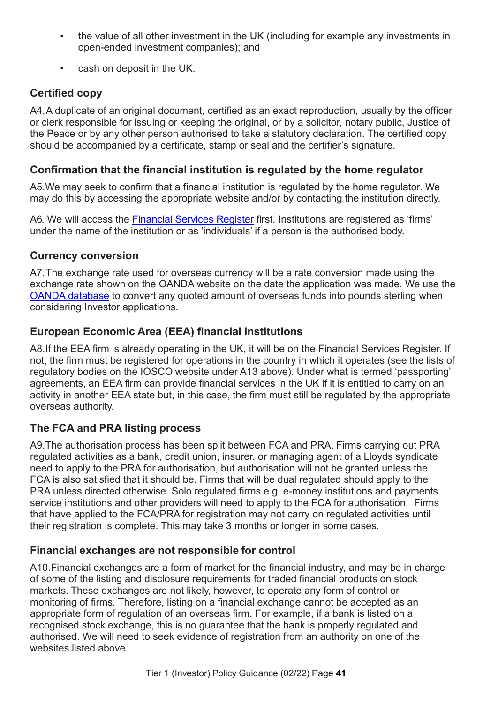- the value of all other investment in the UK (including for example any investments in open-ended investment companies); and
- cash on deposit in the UK.

### **Certified copy**

A4.A duplicate of an original document, certified as an exact reproduction, usually by the officer or clerk responsible for issuing or keeping the original, or by a solicitor, notary public, Justice of the Peace or by any other person authorised to take a statutory declaration. The certified copy should be accompanied by a certificate, stamp or seal and the certifier's signature.

### **Confirmation that the financial institution is regulated by the home regulator**

A5.We may seek to confirm that a financial institution is regulated by the home regulator. We may do this by accessing the appropriate website and/or by contacting the institution directly.

A6. We will access the [Financial Services Register](http://www.fca.org.uk/register) first. Institutions are registered as 'firms' under the name of the institution or as 'individuals' if a person is the authorised body.

### **Currency conversion**

A7.The exchange rate used for overseas currency will be a rate conversion made using the exchange rate shown on the OANDA website on the date the application was made. We use the OANDA [database](http://www.oanda.com/) to convert any quoted amount of overseas funds into pounds sterling when considering Investor applications.

### **European Economic Area (EEA) financial institutions**

A8.If the EEA firm is already operating in the UK, it will be on the Financial Services Register. If not, the firm must be registered for operations in the country in which it operates (see the lists of regulatory bodies on the IOSCO website under A13 above). Under what is termed 'passporting' agreements, an EEA firm can provide financial services in the UK if it is entitled to carry on an activity in another EEA state but, in this case, the firm must still be regulated by the appropriate overseas authority.

### **The FCA and PRA listing process**

A9.The authorisation process has been split between FCA and PRA. Firms carrying out PRA regulated activities as a bank, credit union, insurer, or managing agent of a Lloyds syndicate need to apply to the PRA for authorisation, but authorisation will not be granted unless the FCA is also satisfied that it should be. Firms that will be dual regulated should apply to the PRA unless directed otherwise. Solo regulated firms e.g. e-money institutions and payments service institutions and other providers will need to apply to the FCA for authorisation. Firms that have applied to the FCA/PRA for registration may not carry on regulated activities until their registration is complete. This may take 3 months or longer in some cases.

### **Financial exchanges are not responsible for control**

A10.Financial exchanges are a form of market for the financial industry, and may be in charge of some of the listing and disclosure requirements for traded financial products on stock markets. These exchanges are not likely, however, to operate any form of control or monitoring of firms. Therefore, listing on a financial exchange cannot be accepted as an appropriate form of regulation of an overseas firm. For example, if a bank is listed on a recognised stock exchange, this is no guarantee that the bank is properly regulated and authorised. We will need to seek evidence of registration from an authority on one of the websites listed above.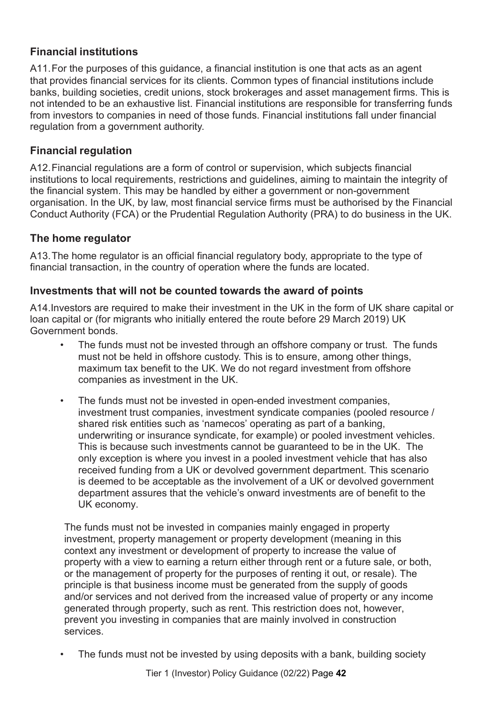### **Financial institutions**

A11.For the purposes of this guidance, a financial institution is one that acts as an agent that provides financial services for its clients. Common types of financial institutions include banks, building societies, credit unions, stock brokerages and asset management firms. This is not intended to be an exhaustive list. Financial institutions are responsible for transferring funds from investors to companies in need of those funds. Financial institutions fall under financial regulation from a government authority.

### **Financial regulation**

A12.Financial regulations are a form of control or supervision, which subjects financial institutions to local requirements, restrictions and guidelines, aiming to maintain the integrity of the financial system. This may be handled by either a government or non-government organisation. In the UK, by law, most financial service firms must be authorised by the Financial Conduct Authority (FCA) or the Prudential Regulation Authority (PRA) to do business in the UK.

### **The home regulator**

A13.The home regulator is an official financial regulatory body, appropriate to the type of financial transaction, in the country of operation where the funds are located.

### **Investments that will not be counted towards the award of points**

A14.Investors are required to make their investment in the UK in the form of UK share capital or loan capital or (for migrants who initially entered the route before 29 March 2019) UK Government bonds.

- The funds must not be invested through an offshore company or trust. The funds must not be held in offshore custody. This is to ensure, among other things, maximum tax benefit to the UK. We do not regard investment from offshore companies as investment in the UK.
- The funds must not be invested in open-ended investment companies, investment trust companies, investment syndicate companies (pooled resource / shared risk entities such as 'namecos' operating as part of a banking, underwriting or insurance syndicate, for example) or pooled investment vehicles. This is because such investments cannot be guaranteed to be in the UK. The only exception is where you invest in a pooled investment vehicle that has also received funding from a UK or devolved government department. This scenario is deemed to be acceptable as the involvement of a UK or devolved government department assures that the vehicle's onward investments are of benefit to the UK economy.

The funds must not be invested in companies mainly engaged in property investment, property management or property development (meaning in this context any investment or development of property to increase the value of property with a view to earning a return either through rent or a future sale, or both, or the management of property for the purposes of renting it out, or resale). The principle is that business income must be generated from the supply of goods and/or services and not derived from the increased value of property or any income generated through property, such as rent. This restriction does not, however, prevent you investing in companies that are mainly involved in construction services.

The funds must not be invested by using deposits with a bank, building society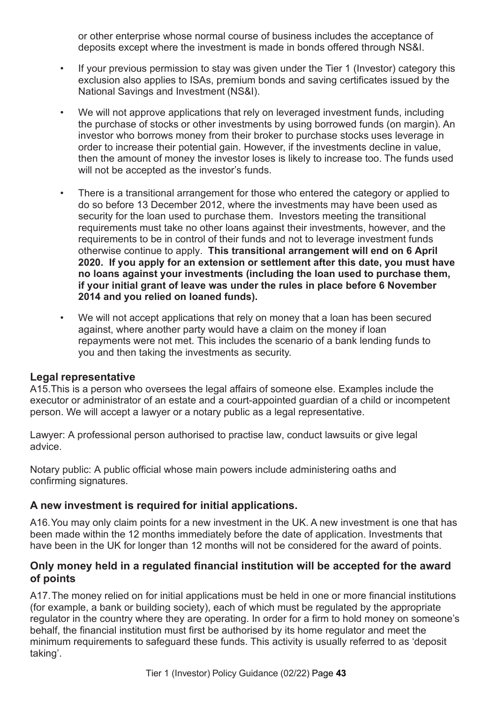or other enterprise whose normal course of business includes the acceptance of deposits except where the investment is made in bonds offered through NS&I.

- If your previous permission to stay was given under the Tier 1 (Investor) category this exclusion also applies to ISAs, premium bonds and saving certificates issued by the National Savings and Investment (NS&I).
- We will not approve applications that rely on leveraged investment funds, including the purchase of stocks or other investments by using borrowed funds (on margin). An investor who borrows money from their broker to purchase stocks uses leverage in order to increase their potential gain. However, if the investments decline in value, then the amount of money the investor loses is likely to increase too. The funds used will not be accepted as the investor's funds.
- There is a transitional arrangement for those who entered the category or applied to do so before 13 December 2012, where the investments may have been used as security for the loan used to purchase them. Investors meeting the transitional requirements must take no other loans against their investments, however, and the requirements to be in control of their funds and not to leverage investment funds otherwise continue to apply. **This transitional arrangement will end on 6 April 2020. If you apply for an extension or settlement after this date, you must have no loans against your investments (including the loan used to purchase them, if your initial grant of leave was under the rules in place before 6 November 2014 and you relied on loaned funds).**
- We will not accept applications that rely on money that a loan has been secured against, where another party would have a claim on the money if loan repayments were not met. This includes the scenario of a bank lending funds to you and then taking the investments as security.

#### **Legal representative**

A15.This is a person who oversees the legal affairs of someone else. Examples include the executor or administrator of an estate and a court-appointed guardian of a child or incompetent person. We will accept a lawyer or a notary public as a legal representative.

Lawyer: A professional person authorised to practise law, conduct lawsuits or give legal advice.

Notary public: A public official whose main powers include administering oaths and confirming signatures.

### **A new investment is required for initial applications.**

A16.You may only claim points for a new investment in the UK. A new investment is one that has been made within the 12 months immediately before the date of application. Investments that have been in the UK for longer than 12 months will not be considered for the award of points.

#### **Only money held in a regulated financial institution will be accepted for the award of points**

A17.The money relied on for initial applications must be held in one or more financial institutions (for example, a bank or building society), each of which must be regulated by the appropriate regulator in the country where they are operating. In order for a firm to hold money on someone's behalf, the financial institution must first be authorised by its home regulator and meet the minimum requirements to safeguard these funds. This activity is usually referred to as 'deposit taking'.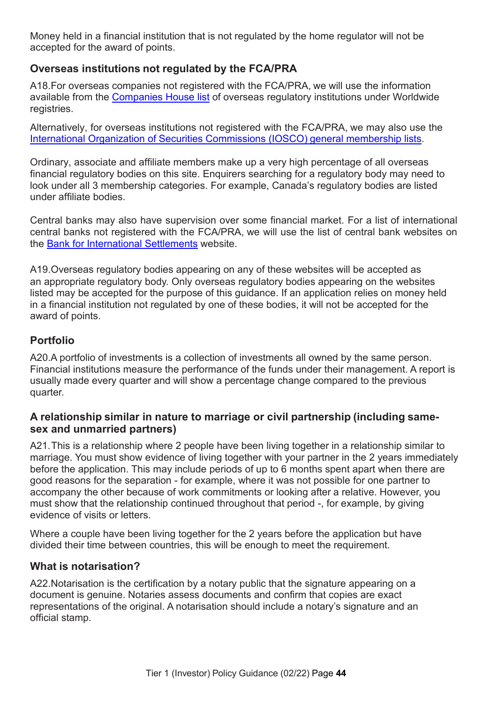Money held in a financial institution that is not regulated by the home regulator will not be accepted for the award of points.

### **Overseas institutions not regulated by the FCA/PRA**

A18.For overseas companies not registered with the FCA/PRA, we will use the information available from the [Companies House list](https://www.gov.uk/government/publications/overseas-registries) of overseas regulatory institutions under Worldwide registries.

Alternatively, for overseas institutions not registered with the FCA/PRA, we may also use the International Organization of [Securities Commissions \(IOSCO\)](http://www.iosco.org/) general membership lists.

Ordinary, associate and affiliate members make up a very high percentage of all overseas financial regulatory bodies on this site. Enquirers searching for a regulatory body may need to look under all 3 membership categories. For example, Canada's regulatory bodies are listed under affiliate bodies.

Central banks may also have supervision over some financial market. For a list of international central banks not registered with the FCA/PRA, we will use the list of central bank websites on the Bank for [International Settlements](http://www.bis.org/central_bank_hub_overview.htm) website.

A19.Overseas regulatory bodies appearing on any of these websites will be accepted as an appropriate regulatory body. Only overseas regulatory bodies appearing on the websites listed may be accepted for the purpose of this guidance. If an application relies on money held in a financial institution not regulated by one of these bodies, it will not be accepted for the award of points.

### **Portfolio**

A20.A portfolio of investments is a collection of investments all owned by the same person. Financial institutions measure the performance of the funds under their management. A report is usually made every quarter and will show a percentage change compared to the previous quarter.

### **A relationship similar in nature to marriage or civil partnership (including samesex and unmarried partners)**

A21.This is a relationship where 2 people have been living together in a relationship similar to marriage. You must show evidence of living together with your partner in the 2 years immediately before the application. This may include periods of up to 6 months spent apart when there are good reasons for the separation - for example, where it was not possible for one partner to accompany the other because of work commitments or looking after a relative. However, you must show that the relationship continued throughout that period -, for example, by giving evidence of visits or letters.

Where a couple have been living together for the 2 years before the application but have divided their time between countries, this will be enough to meet the requirement.

### **What is notarisation?**

A22.Notarisation is the certification by a notary public that the signature appearing on a document is genuine. Notaries assess documents and confirm that copies are exact representations of the original. A notarisation should include a notary's signature and an official stamp.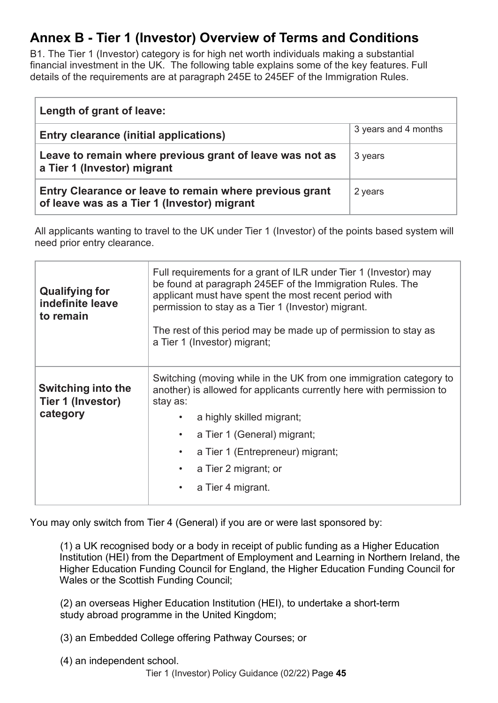# <span id="page-48-0"></span>**Annex B - Tier 1 (Investor) Overview of Terms and Conditions**

B1. The Tier 1 (Investor) category is for high net worth individuals making a substantial financial investment in the UK. The following table explains some of the key features. Full details of the requirements are at paragraph 245E to 245EF of the Immigration Rules.

| Length of grant of leave:                                                                              |                      |
|--------------------------------------------------------------------------------------------------------|----------------------|
| <b>Entry clearance (initial applications)</b>                                                          | 3 years and 4 months |
| Leave to remain where previous grant of leave was not as<br>a Tier 1 (Investor) migrant                | 3 years              |
| Entry Clearance or leave to remain where previous grant<br>of leave was as a Tier 1 (Investor) migrant | 2 years              |

All applicants wanting to travel to the UK under Tier 1 (Investor) of the points based system will need prior entry clearance.

| <b>Qualifying for</b><br>indefinite leave<br>to remain     | Full requirements for a grant of ILR under Tier 1 (Investor) may<br>be found at paragraph 245EF of the Immigration Rules. The<br>applicant must have spent the most recent period with<br>permission to stay as a Tier 1 (Investor) migrant.<br>The rest of this period may be made up of permission to stay as<br>a Tier 1 (Investor) migrant; |  |
|------------------------------------------------------------|-------------------------------------------------------------------------------------------------------------------------------------------------------------------------------------------------------------------------------------------------------------------------------------------------------------------------------------------------|--|
| <b>Switching into the</b><br>Tier 1 (Investor)<br>category | Switching (moving while in the UK from one immigration category to<br>another) is allowed for applicants currently here with permission to<br>stay as:<br>a highly skilled migrant;<br>a Tier 1 (General) migrant;<br>$\bullet$<br>a Tier 1 (Entrepreneur) migrant;<br>a Tier 2 migrant; or<br>a Tier 4 migrant.<br>$\bullet$                   |  |

You may only switch from Tier 4 (General) if you are or were last sponsored by:

(1) a UK recognised body or a body in receipt of public funding as a Higher Education Institution (HEI) from the Department of Employment and Learning in Northern Ireland, the Higher Education Funding Council for England, the Higher Education Funding Council for Wales or the Scottish Funding Council;

(2) an overseas Higher Education Institution (HEI), to undertake a short-term study abroad programme in the United Kingdom;

(3) an Embedded College offering Pathway Courses; or

(4) an independent school.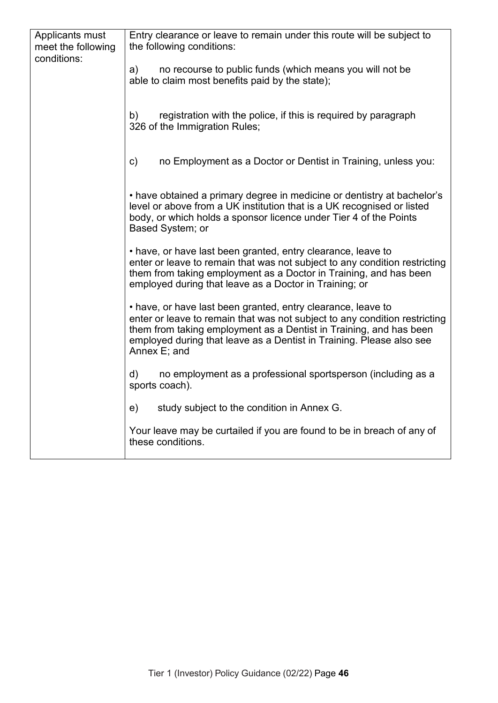| Applicants must<br>meet the following | Entry clearance or leave to remain under this route will be subject to<br>the following conditions:                                                                                                                                                                                                      |  |
|---------------------------------------|----------------------------------------------------------------------------------------------------------------------------------------------------------------------------------------------------------------------------------------------------------------------------------------------------------|--|
| conditions:                           | a)<br>no recourse to public funds (which means you will not be<br>able to claim most benefits paid by the state);                                                                                                                                                                                        |  |
|                                       | registration with the police, if this is required by paragraph<br>b)<br>326 of the Immigration Rules;                                                                                                                                                                                                    |  |
|                                       | c)<br>no Employment as a Doctor or Dentist in Training, unless you:                                                                                                                                                                                                                                      |  |
|                                       | • have obtained a primary degree in medicine or dentistry at bachelor's<br>level or above from a UK institution that is a UK recognised or listed<br>body, or which holds a sponsor licence under Tier 4 of the Points<br>Based System; or                                                               |  |
|                                       | • have, or have last been granted, entry clearance, leave to<br>enter or leave to remain that was not subject to any condition restricting<br>them from taking employment as a Doctor in Training, and has been<br>employed during that leave as a Doctor in Training; or                                |  |
|                                       | • have, or have last been granted, entry clearance, leave to<br>enter or leave to remain that was not subject to any condition restricting<br>them from taking employment as a Dentist in Training, and has been<br>employed during that leave as a Dentist in Training. Please also see<br>Annex E; and |  |
|                                       | no employment as a professional sportsperson (including as a<br>d)<br>sports coach).                                                                                                                                                                                                                     |  |
|                                       | e)<br>study subject to the condition in Annex G.                                                                                                                                                                                                                                                         |  |
|                                       | Your leave may be curtailed if you are found to be in breach of any of<br>these conditions.                                                                                                                                                                                                              |  |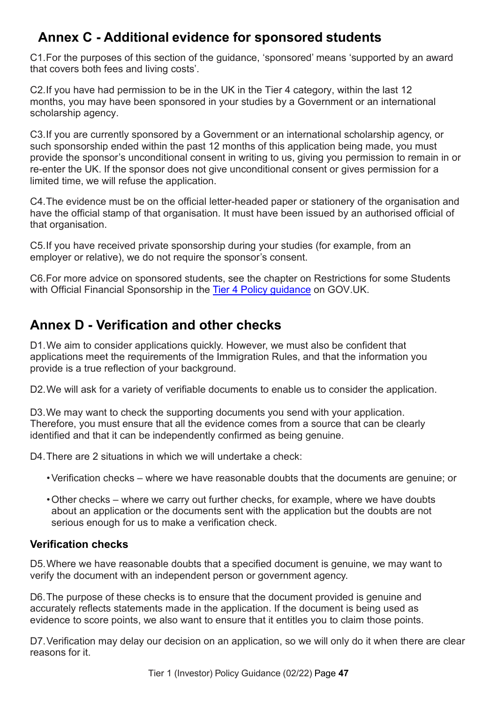# <span id="page-50-0"></span> **Annex C - Additional evidence for sponsored students**

C1.For the purposes of this section of the guidance, 'sponsored' means 'supported by an award that covers both fees and living costs'.

C2.If you have had permission to be in the UK in the Tier 4 category, within the last 12 months, you may have been sponsored in your studies by a Government or an international scholarship agency.

C3.If you are currently sponsored by a Government or an international scholarship agency, or such sponsorship ended within the past 12 months of this application being made, you must provide the sponsor's unconditional consent in writing to us, giving you permission to remain in or re-enter the UK. If the sponsor does not give unconditional consent or gives permission for a limited time, we will refuse the application.

C4.The evidence must be on the official letter-headed paper or stationery of the organisation and have the official stamp of that organisation. It must have been issued by an authorised official of that organisation.

C5.If you have received private sponsorship during your studies (for example, from an employer or relative), we do not require the sponsor's consent.

C6.For more advice on sponsored students, see the chapter on Restrictions for some Students with Official Financial Sponsorship in the [Tier 4 Policy guidance](https://www.gov.uk/tier-4-general-visa/overview) on GOV.UK.

# <span id="page-50-1"></span>**Annex D - Verification and other checks**

D1. We aim to consider applications quickly. However, we must also be confident that applications meet the requirements of the Immigration Rules, and that the information you provide is a true reflection of your background.

D2. We will ask for a variety of verifiable documents to enable us to consider the application.

D3. We may want to check the supporting documents you send with your application. Therefore, you must ensure that all the evidence comes from a source that can be clearly identified and that it can be independently confirmed as being genuine.

D4.There are 2 situations in which we will undertake a check:

- Verification checks where we have reasonable doubts that the documents are genuine; or
- Other checks where we carry out further checks, for example, where we have doubts about an application or the documents sent with the application but the doubts are not serious enough for us to make a verification check.

### <span id="page-50-2"></span>**Verification checks**

D5.Where we have reasonable doubts that a specified document is genuine, we may want to verify the document with an independent person or government agency.

D6.The purpose of these checks is to ensure that the document provided is genuine and accurately reflects statements made in the application. If the document is being used as evidence to score points, we also want to ensure that it entitles you to claim those points.

D7. Verification may delay our decision on an application, so we will only do it when there are clear reasons for it.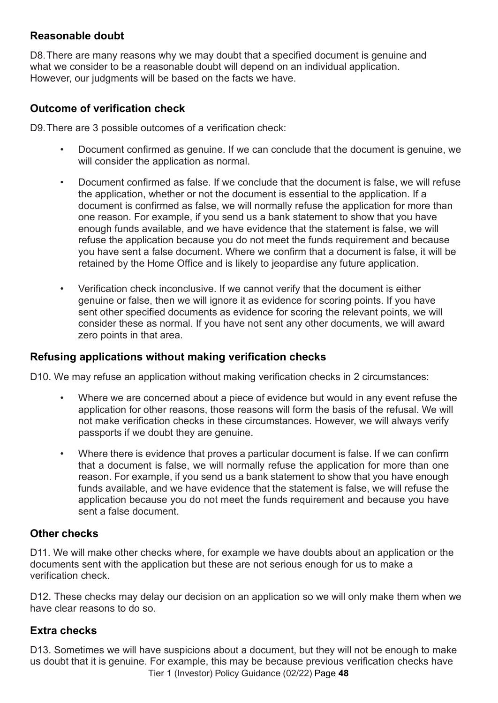### <span id="page-51-0"></span>**Reasonable doubt**

D8.There are many reasons why we may doubt that a specified document is genuine and what we consider to be a reasonable doubt will depend on an individual application. However, our judgments will be based on the facts we have.

### <span id="page-51-1"></span>**Outcome of verification check**

D9.There are 3 possible outcomes of a verification check:

- Document confirmed as genuine. If we can conclude that the document is genuine, we will consider the application as normal.
- Document confirmed as false. If we conclude that the document is false, we will refuse the application, whether or not the document is essential to the application. If a document is confirmed as false, we will normally refuse the application for more than one reason. For example, if you send us a bank statement to show that you have enough funds available, and we have evidence that the statement is false, we will refuse the application because you do not meet the funds requirement and because you have sent a false document. Where we confirm that a document is false, it will be retained by the Home Office and is likely to jeopardise any future application.
- Verification check inconclusive. If we cannot verify that the document is either genuine or false, then we will ignore it as evidence for scoring points. If you have sent other specified documents as evidence for scoring the relevant points, we will consider these as normal. If you have not sent any other documents, we will award zero points in that area.

#### <span id="page-51-2"></span>**Refusing applications without making verification checks**

D10. We may refuse an application without making verification checks in 2 circumstances:

- Where we are concerned about a piece of evidence but would in any event refuse the application for other reasons, those reasons will form the basis of the refusal. We will not make verification checks in these circumstances. However, we will always verify passports if we doubt they are genuine.
- Where there is evidence that proves a particular document is false. If we can confirm that a document is false, we will normally refuse the application for more than one reason. For example, if you send us a bank statement to show that you have enough funds available, and we have evidence that the statement is false, we will refuse the application because you do not meet the funds requirement and because you have sent a false document.

### <span id="page-51-3"></span>**Other checks**

D11. We will make other checks where, for example we have doubts about an application or the documents sent with the application but these are not serious enough for us to make a verification check.

D12. These checks may delay our decision on an application so we will only make them when we have clear reasons to do so.

### <span id="page-51-4"></span>**Extra checks**

Tier 1 (Investor) Policy Guidance (02/22) Page **48** D13. Sometimes we will have suspicions about a document, but they will not be enough to make us doubt that it is genuine. For example, this may be because previous verification checks have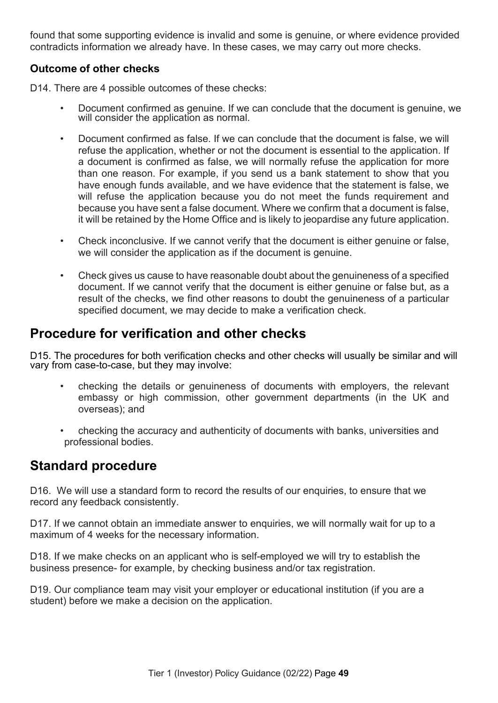found that some supporting evidence is invalid and some is genuine, or where evidence provided contradicts information we already have. In these cases, we may carry out more checks.

### <span id="page-52-0"></span>**Outcome of other checks**

D14. There are 4 possible outcomes of these checks:

- Document confirmed as genuine. If we can conclude that the document is genuine, we will consider the application as normal.
- Document confirmed as false. If we can conclude that the document is false, we will refuse the application, whether or not the document is essential to the application. If a document is confirmed as false, we will normally refuse the application for more than one reason. For example, if you send us a bank statement to show that you have enough funds available, and we have evidence that the statement is false, we will refuse the application because you do not meet the funds requirement and because you have sent a false document. Where we confirm that a document is false, it will be retained by the Home Office and is likely to jeopardise any future application.
- Check inconclusive. If we cannot verify that the document is either genuine or false, we will consider the application as if the document is genuine.
- Check gives us cause to have reasonable doubt about the genuineness of a specified document. If we cannot verify that the document is either genuine or false but, as a result of the checks, we find other reasons to doubt the genuineness of a particular specified document, we may decide to make a verification check.

# **Procedure for verification and other checks**

D15. The procedures for both verification checks and other checks will usually be similar and will vary from case-to-case, but they may involve:

- checking the details or genuineness of documents with employers, the relevant embassy or high commission, other government departments (in the UK and overseas); and
- checking the accuracy and authenticity of documents with banks, universities and professional bodies.

# **Standard procedure**

D16. We will use a standard form to record the results of our enquiries, to ensure that we record any feedback consistently.

D17. If we cannot obtain an immediate answer to enquiries, we will normally wait for up to a maximum of 4 weeks for the necessary information.

D18. If we make checks on an applicant who is self-employed we will try to establish the business presence- for example, by checking business and/or tax registration.

D19. Our compliance team may visit your employer or educational institution (if you are a student) before we make a decision on the application.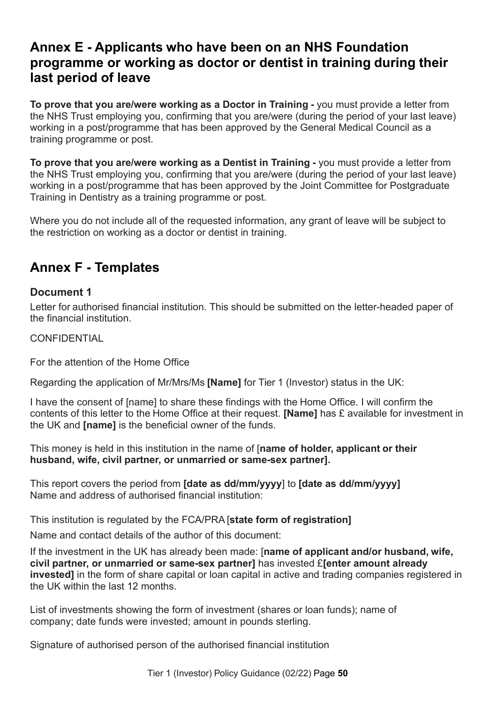# <span id="page-53-0"></span>**Annex E - Applicants who have been on an NHS Foundation programme or working as doctor or dentist in training during their last period of leave**

**To prove that you are/were working as a Doctor in Training -** you must provide a letter from the NHS Trust employing you, confirming that you are/were (during the period of your last leave) working in a post/programme that has been approved by the General Medical Council as a training programme or post.

**To prove that you are/were working as a Dentist in Training -** you must provide a letter from the NHS Trust employing you, confirming that you are/were (during the period of your last leave) working in a post/programme that has been approved by the Joint Committee for Postgraduate Training in Dentistry as a training programme or post.

Where you do not include all of the requested information, any grant of leave will be subject to the restriction on working as a doctor or dentist in training.

# <span id="page-53-1"></span>**Annex F - Templates**

### **Document 1**

Letter for authorised financial institution. This should be submitted on the letter-headed paper of the financial institution.

**CONFIDENTIAL** 

For the attention of the Home Office

Regarding the application of Mr/Mrs/Ms **[Name]** for Tier 1 (Investor) status in the UK:

I have the consent of [name] to share these findings with the Home Office. I will confirm the contents of this letter to the Home Office at their request. **[Name]** has £ available for investment in the UK and **[name]** is the beneficial owner of the funds.

This money is held in this institution in the name of [**name of holder, applicant or their husband, wife, civil partner, or unmarried or same-sex partner].**

This report covers the period from **[date as dd/mm/yyyy**] to **[date as dd/mm/yyyy]** Name and address of authorised financial institution:

This institution is regulated by the FCA/PRA [**state form of registration]**

Name and contact details of the author of this document:

If the investment in the UK has already been made: [**name of applicant and/or husband, wife, civil partner, or unmarried or same-sex partner]** has invested £**[enter amount already invested]** in the form of share capital or loan capital in active and trading companies registered in the UK within the last 12 months.

List of investments showing the form of investment (shares or loan funds); name of company; date funds were invested; amount in pounds sterling.

Signature of authorised person of the authorised financial institution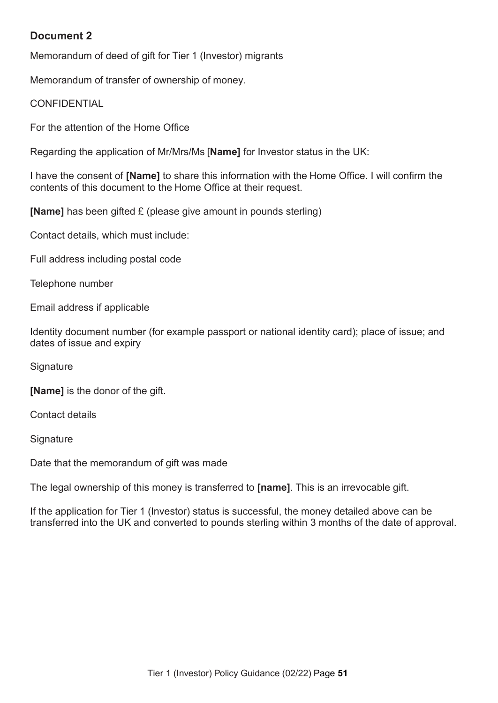### **Document 2**

Memorandum of deed of gift for Tier 1 (Investor) migrants

Memorandum of transfer of ownership of money.

**CONFIDENTIAL** 

For the attention of the Home Office

Regarding the application of Mr/Mrs/Ms [**Name]** for Investor status in the UK:

I have the consent of **[Name]** to share this information with the Home Office. I will confirm the contents of this document to the Home Office at their request.

**[Name]** has been gifted £ (please give amount in pounds sterling)

Contact details, which must include:

Full address including postal code

Telephone number

Email address if applicable

Identity document number (for example passport or national identity card); place of issue; and dates of issue and expiry

**Signature** 

**[Name]** is the donor of the gift.

Contact details

**Signature** 

Date that the memorandum of gift was made

The legal ownership of this money is transferred to **[name]**. This is an irrevocable gift.

If the application for Tier 1 (Investor) status is successful, the money detailed above can be transferred into the UK and converted to pounds sterling within 3 months of the date of approval.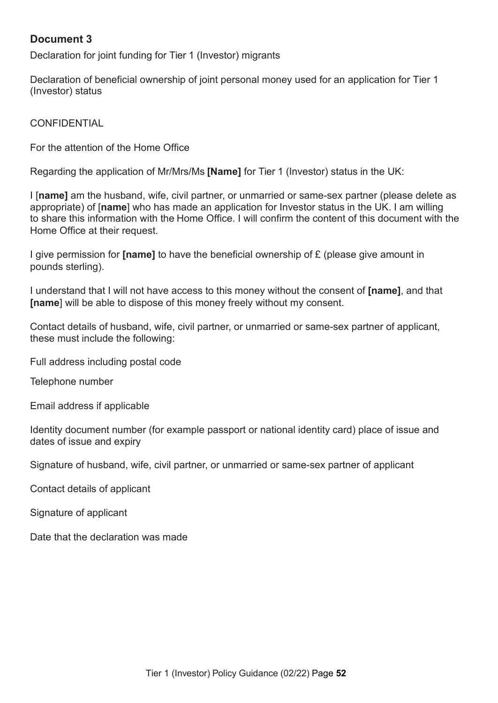### **Document 3**

Declaration for joint funding for Tier 1 (Investor) migrants

Declaration of beneficial ownership of joint personal money used for an application for Tier 1 (Investor) status

**CONFIDENTIAL** 

For the attention of the Home Office

Regarding the application of Mr/Mrs/Ms **[Name]** for Tier 1 (Investor) status in the UK:

I [**name]** am the husband, wife, civil partner, or unmarried or same-sex partner (please delete as appropriate) of [**name**] who has made an application for Investor status in the UK. I am willing to share this information with the Home Office. I will confirm the content of this document with the Home Office at their request.

I give permission for **[name]** to have the beneficial ownership of £ (please give amount in pounds sterling).

I understand that I will not have access to this money without the consent of **[name]**, and that **[name**] will be able to dispose of this money freely without my consent.

Contact details of husband, wife, civil partner, or unmarried or same-sex partner of applicant, these must include the following:

Full address including postal code

Telephone number

Email address if applicable

Identity document number (for example passport or national identity card) place of issue and dates of issue and expiry

Signature of husband, wife, civil partner, or unmarried or same-sex partner of applicant

Contact details of applicant

Signature of applicant

Date that the declaration was made